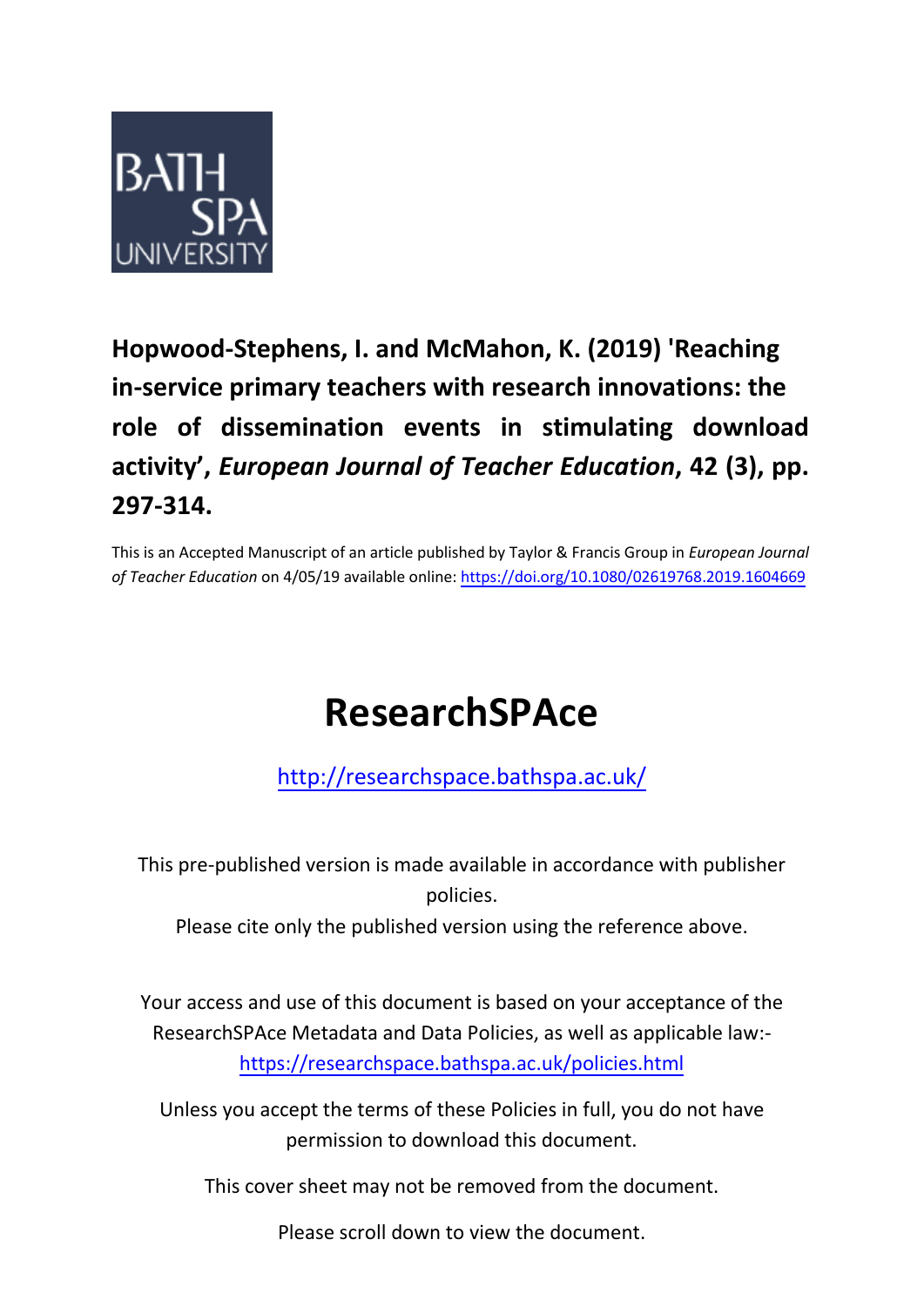

## **Hopwood-Stephens, I. and McMahon, K. (2019) 'Reaching in-service primary teachers with research innovations: the role of dissemination events in stimulating download activity' ,** *European Journal of Teacher Education***, 42 (3), pp. 297-314.**

This is an Accepted Manuscript of an article published by Taylor & Francis Group in *European Journal of Teacher Education* on 4/05/19 available online[: https://doi.org/10.1080/02619768.2019.1604669](https://doi.org/10.1080/02619768.2019.1604669)

# **ResearchSPAce**

<http://researchspace.bathspa.ac.uk/>

This pre-published version is made available in accordance with publisher policies. Please cite only the published version using the reference above.

Your access and use of this document is based on your acceptance of the ResearchSPAce Metadata and Data Policies, as well as applicable law: https://researchspace.bathspa.ac.uk/policies.html

Unless you accept the terms of these Policies in full, you do not have permission to download this document.

This cover sheet may not be removed from the document.

Please scroll down to view the document.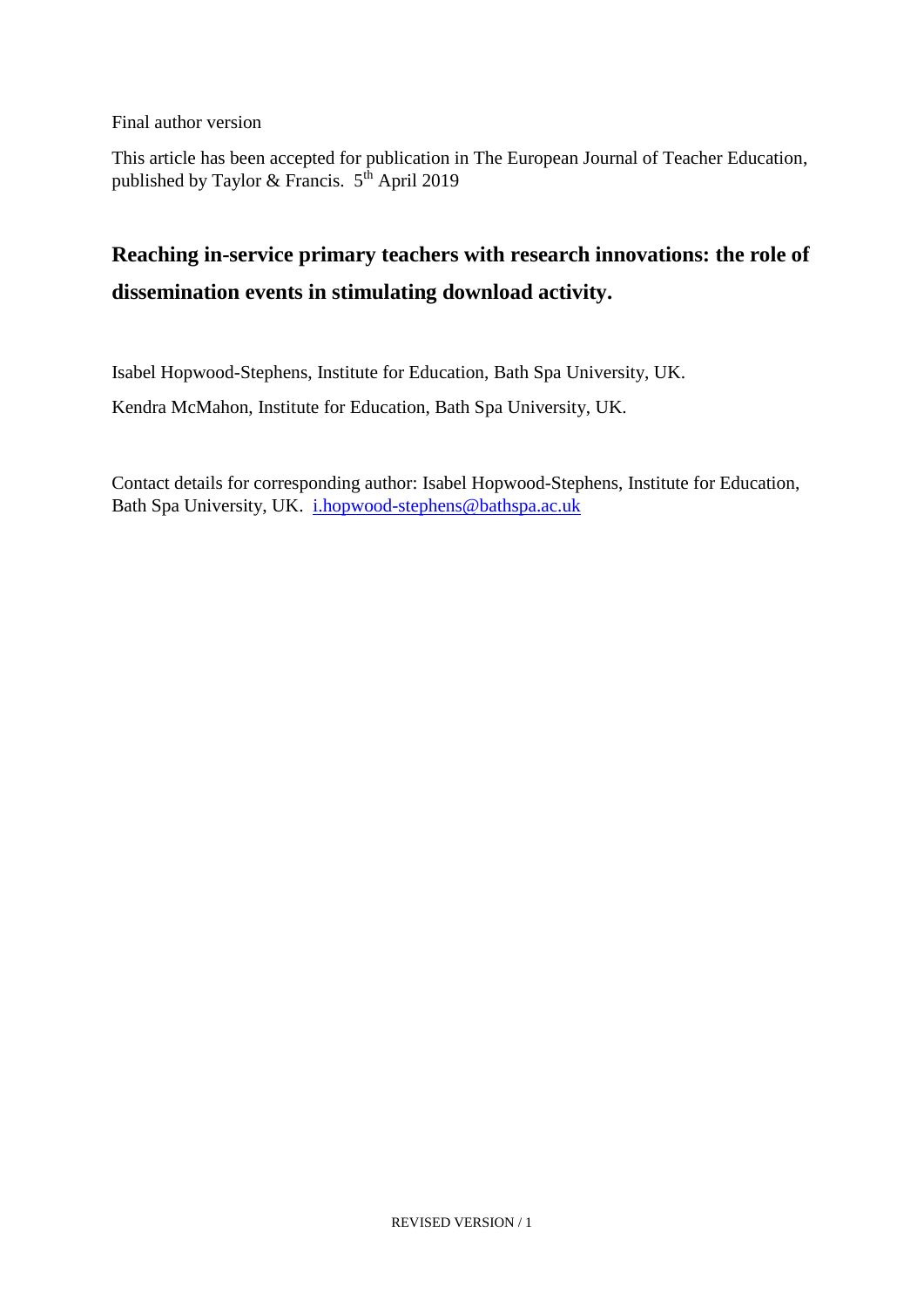Final author version

This article has been accepted for publication in The European Journal of Teacher Education, published by Taylor & Francis.  $5^{\text{th}}$  April 2019

## **Reaching in-service primary teachers with research innovations: the role of dissemination events in stimulating download activity.**

Isabel Hopwood-Stephens, Institute for Education, Bath Spa University, UK. Kendra McMahon, Institute for Education, Bath Spa University, UK.

Contact details for corresponding author: Isabel Hopwood-Stephens, Institute for Education, Bath Spa University, UK. *[i.hopwood-stephens@bathspa.ac.uk](mailto:i.hopwood-stephens@bathspa.ac.uk)*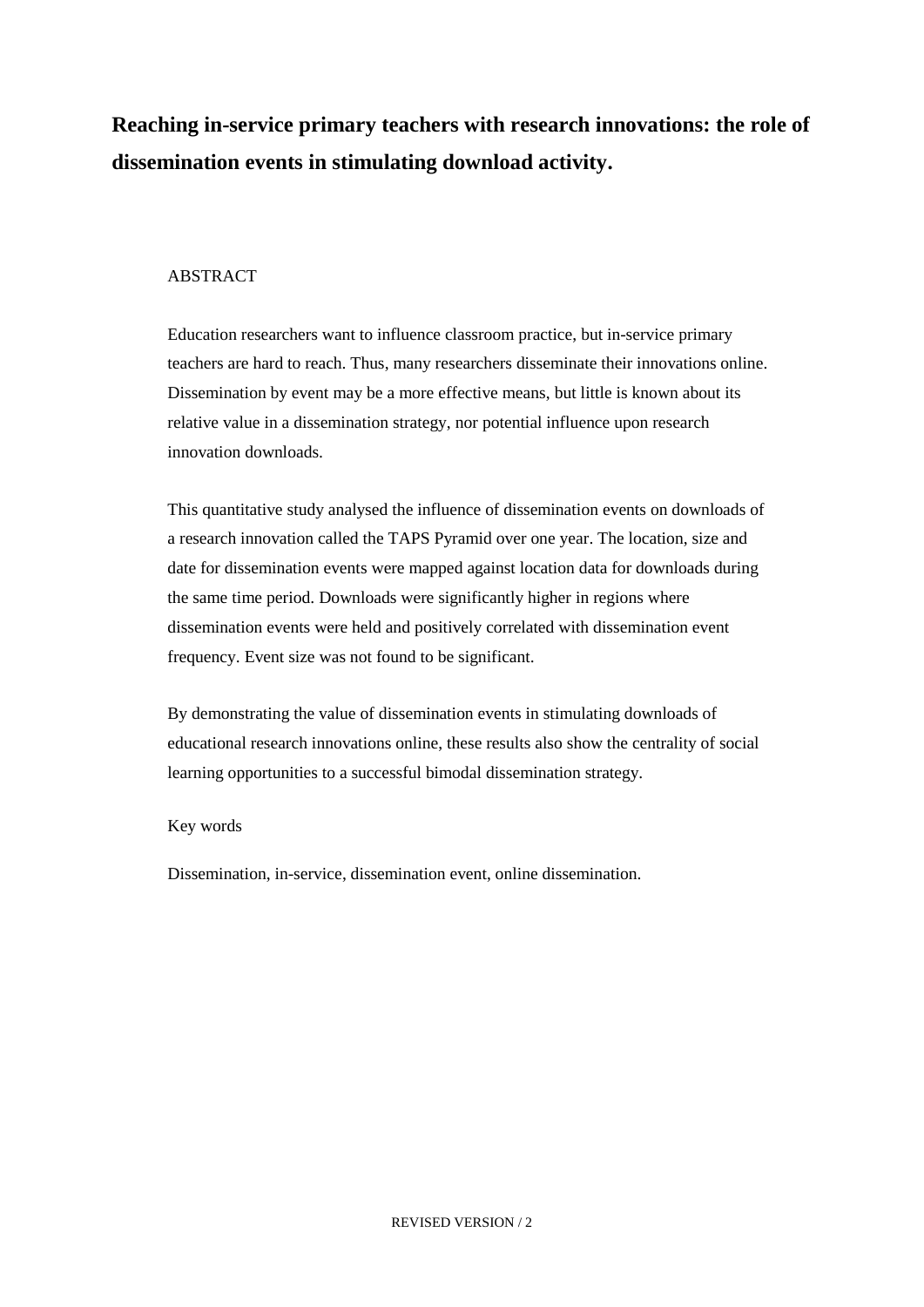**Reaching in-service primary teachers with research innovations: the role of dissemination events in stimulating download activity.** 

#### ABSTRACT

Education researchers want to influence classroom practice, but in-service primary teachers are hard to reach. Thus, many researchers disseminate their innovations online. Dissemination by event may be a more effective means, but little is known about its relative value in a dissemination strategy, nor potential influence upon research innovation downloads.

This quantitative study analysed the influence of dissemination events on downloads of a research innovation called the TAPS Pyramid over one year. The location, size and date for dissemination events were mapped against location data for downloads during the same time period. Downloads were significantly higher in regions where dissemination events were held and positively correlated with dissemination event frequency. Event size was not found to be significant.

By demonstrating the value of dissemination events in stimulating downloads of educational research innovations online, these results also show the centrality of social learning opportunities to a successful bimodal dissemination strategy.

#### Key words

Dissemination, in-service, dissemination event, online dissemination.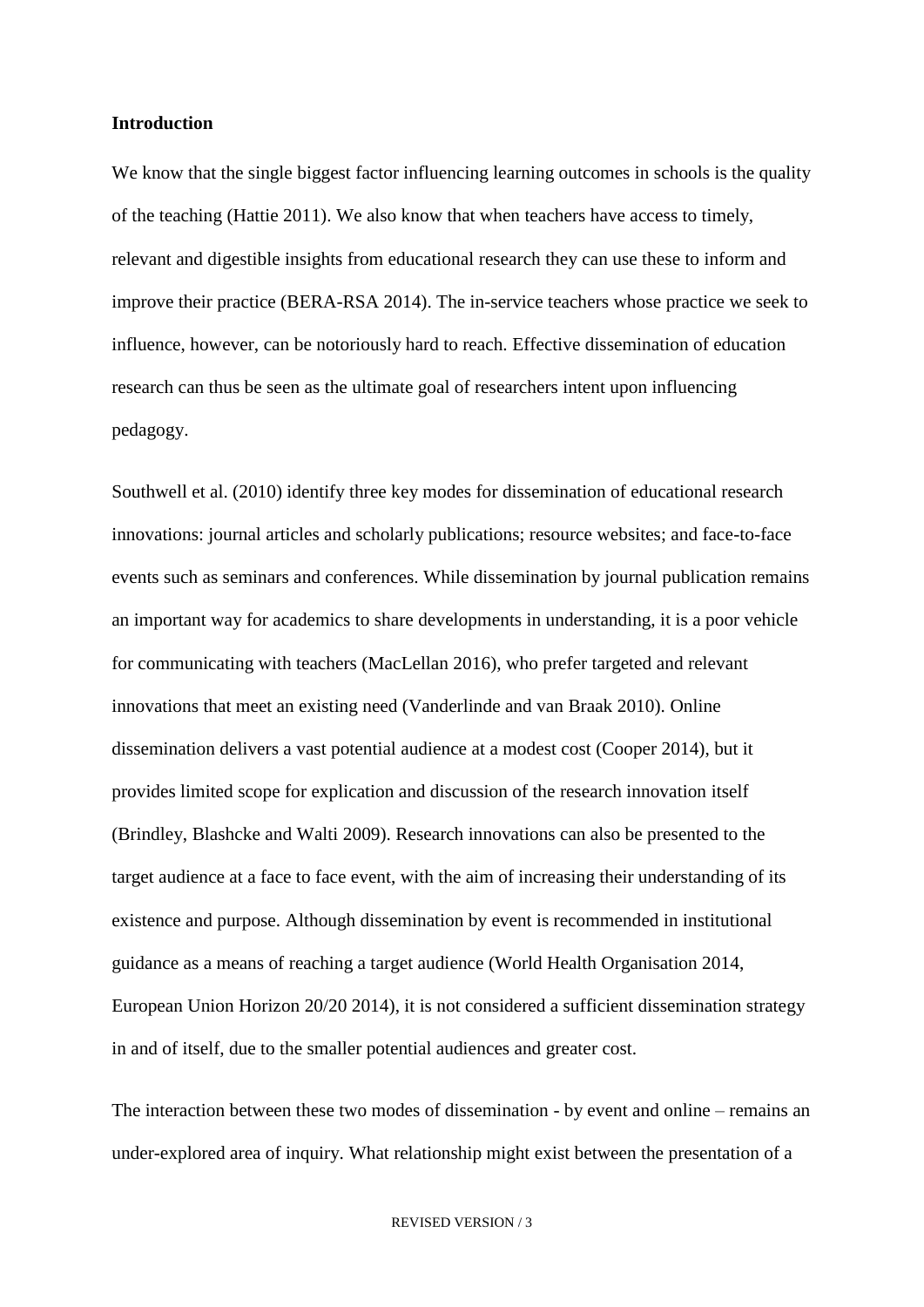#### **Introduction**

We know that the single biggest factor influencing learning outcomes in schools is the quality of the teaching (Hattie 2011). We also know that when teachers have access to timely, relevant and digestible insights from educational research they can use these to inform and improve their practice (BERA-RSA 2014). The in-service teachers whose practice we seek to influence, however, can be notoriously hard to reach. Effective dissemination of education research can thus be seen as the ultimate goal of researchers intent upon influencing pedagogy.

Southwell et al. (2010) identify three key modes for dissemination of educational research innovations: journal articles and scholarly publications; resource websites; and face-to-face events such as seminars and conferences. While dissemination by journal publication remains an important way for academics to share developments in understanding, it is a poor vehicle for communicating with teachers (MacLellan 2016), who prefer targeted and relevant innovations that meet an existing need (Vanderlinde and van Braak 2010). Online dissemination delivers a vast potential audience at a modest cost (Cooper 2014), but it provides limited scope for explication and discussion of the research innovation itself (Brindley, Blashcke and Walti 2009). Research innovations can also be presented to the target audience at a face to face event, with the aim of increasing their understanding of its existence and purpose. Although dissemination by event is recommended in institutional guidance as a means of reaching a target audience (World Health Organisation 2014, European Union Horizon 20/20 2014), it is not considered a sufficient dissemination strategy in and of itself, due to the smaller potential audiences and greater cost.

The interaction between these two modes of dissemination - by event and online – remains an under-explored area of inquiry. What relationship might exist between the presentation of a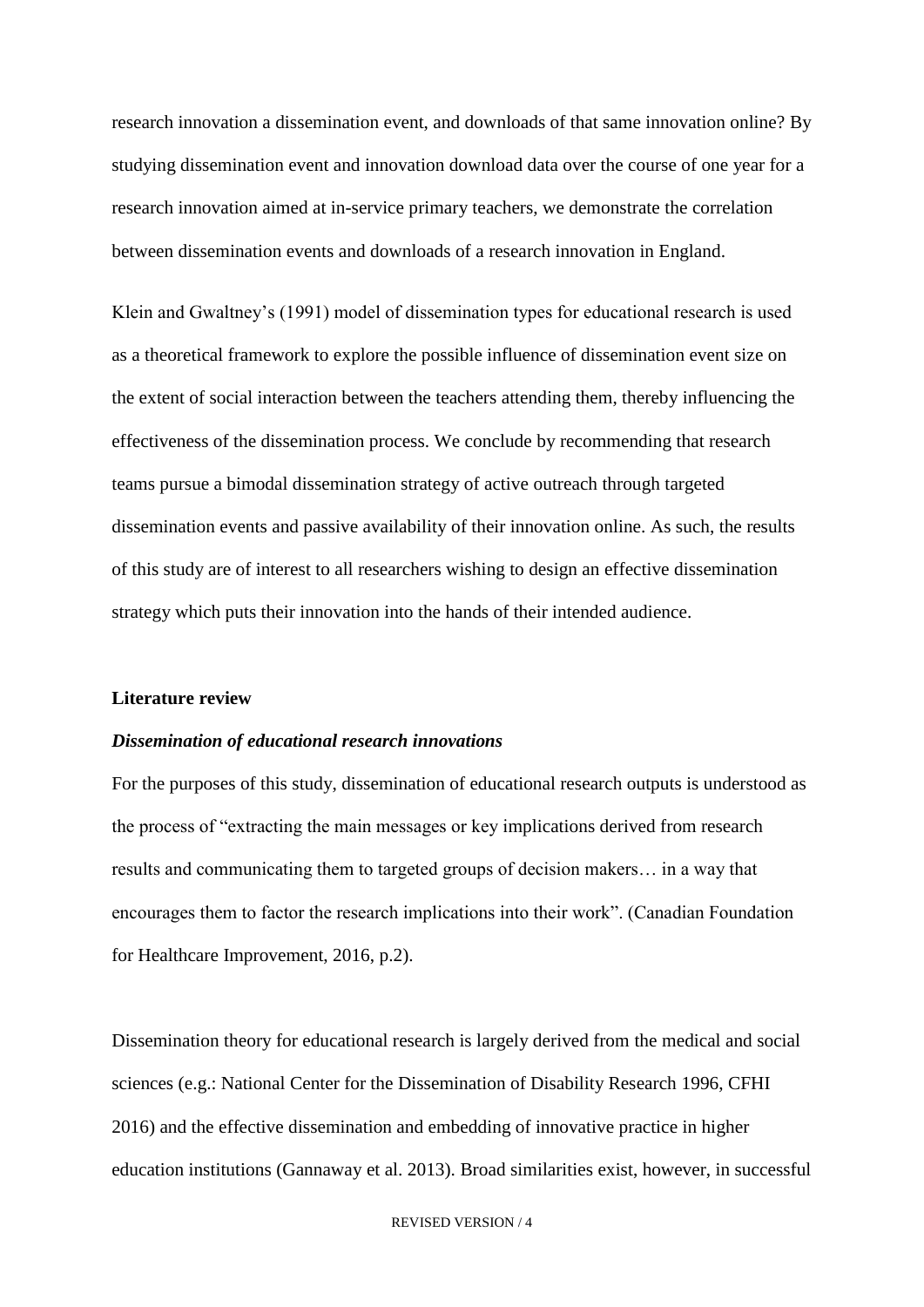research innovation a dissemination event, and downloads of that same innovation online? By studying dissemination event and innovation download data over the course of one year for a research innovation aimed at in-service primary teachers, we demonstrate the correlation between dissemination events and downloads of a research innovation in England.

Klein and Gwaltney's (1991) model of dissemination types for educational research is used as a theoretical framework to explore the possible influence of dissemination event size on the extent of social interaction between the teachers attending them, thereby influencing the effectiveness of the dissemination process. We conclude by recommending that research teams pursue a bimodal dissemination strategy of active outreach through targeted dissemination events and passive availability of their innovation online. As such, the results of this study are of interest to all researchers wishing to design an effective dissemination strategy which puts their innovation into the hands of their intended audience.

#### **Literature review**

#### *Dissemination of educational research innovations*

For the purposes of this study, dissemination of educational research outputs is understood as the process of "extracting the main messages or key implications derived from research results and communicating them to targeted groups of decision makers… in a way that encourages them to factor the research implications into their work". (Canadian Foundation for Healthcare Improvement, 2016, p.2).

Dissemination theory for educational research is largely derived from the medical and social sciences (e.g.: National Center for the Dissemination of Disability Research 1996, CFHI 2016) and the effective dissemination and embedding of innovative practice in higher education institutions (Gannaway et al. 2013). Broad similarities exist, however, in successful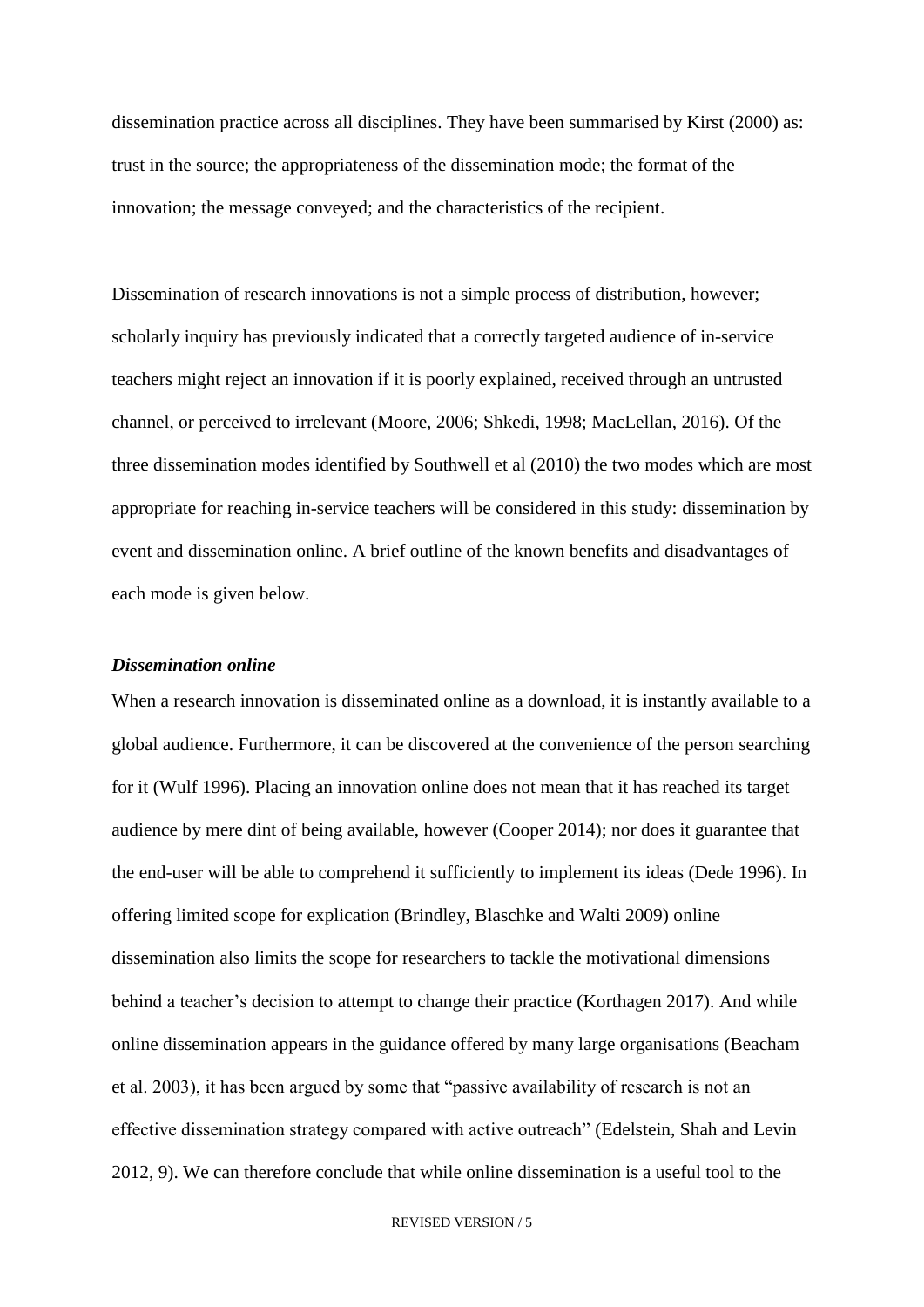dissemination practice across all disciplines. They have been summarised by Kirst (2000) as: trust in the source; the appropriateness of the dissemination mode; the format of the innovation; the message conveyed; and the characteristics of the recipient.

Dissemination of research innovations is not a simple process of distribution, however; scholarly inquiry has previously indicated that a correctly targeted audience of in-service teachers might reject an innovation if it is poorly explained, received through an untrusted channel, or perceived to irrelevant (Moore, 2006; Shkedi, 1998; MacLellan, 2016). Of the three dissemination modes identified by Southwell et al (2010) the two modes which are most appropriate for reaching in-service teachers will be considered in this study: dissemination by event and dissemination online. A brief outline of the known benefits and disadvantages of each mode is given below.

#### *Dissemination online*

When a research innovation is disseminated online as a download, it is instantly available to a global audience. Furthermore, it can be discovered at the convenience of the person searching for it (Wulf 1996). Placing an innovation online does not mean that it has reached its target audience by mere dint of being available, however (Cooper 2014); nor does it guarantee that the end-user will be able to comprehend it sufficiently to implement its ideas (Dede 1996). In offering limited scope for explication (Brindley, Blaschke and Walti 2009) online dissemination also limits the scope for researchers to tackle the motivational dimensions behind a teacher's decision to attempt to change their practice (Korthagen 2017). And while online dissemination appears in the guidance offered by many large organisations (Beacham et al. 2003), it has been argued by some that "passive availability of research is not an effective dissemination strategy compared with active outreach" (Edelstein, Shah and Levin 2012, 9). We can therefore conclude that while online dissemination is a useful tool to the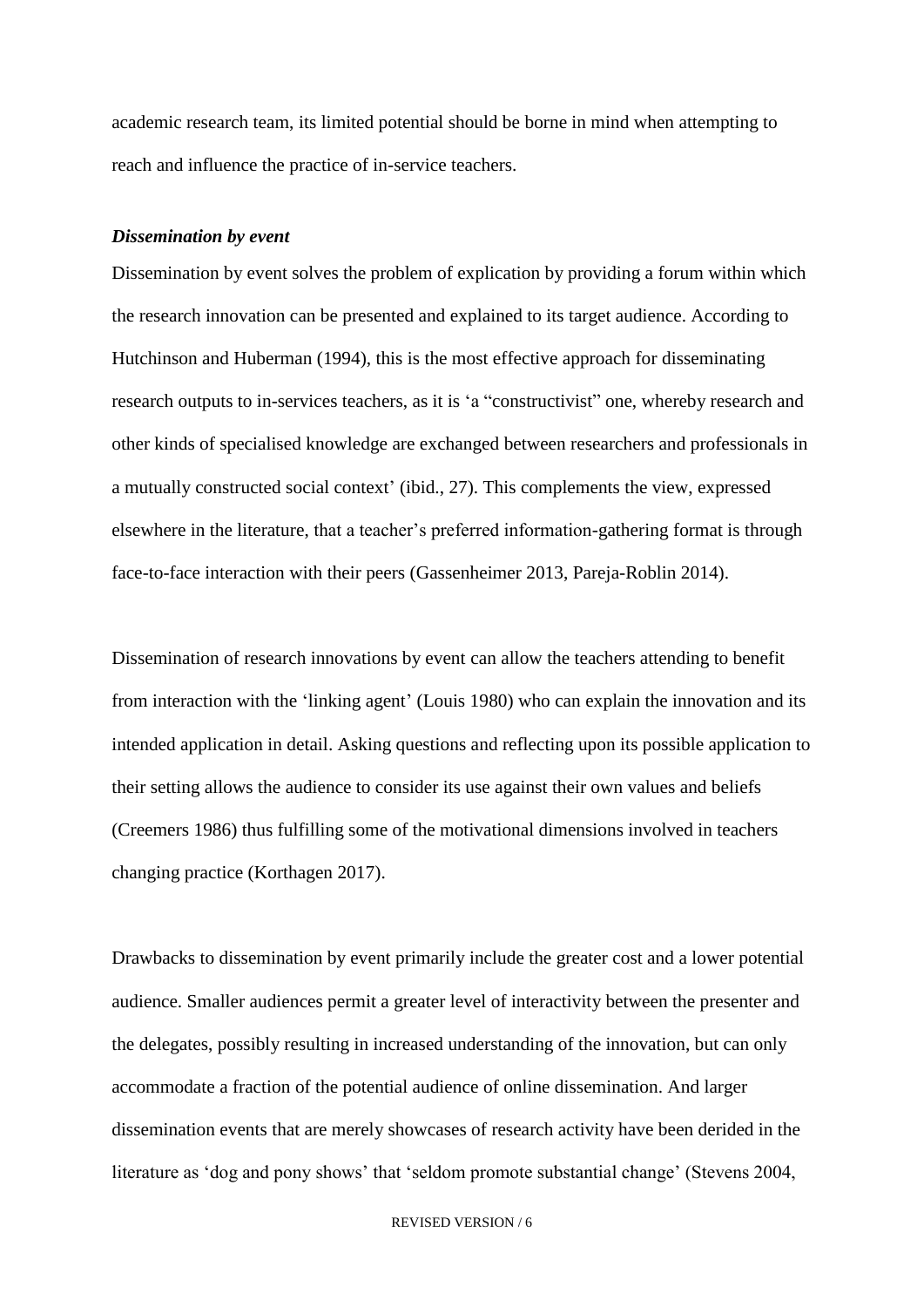academic research team, its limited potential should be borne in mind when attempting to reach and influence the practice of in-service teachers.

#### *Dissemination by event*

Dissemination by event solves the problem of explication by providing a forum within which the research innovation can be presented and explained to its target audience. According to Hutchinson and Huberman (1994), this is the most effective approach for disseminating research outputs to in-services teachers, as it is 'a "constructivist" one, whereby research and other kinds of specialised knowledge are exchanged between researchers and professionals in a mutually constructed social context' (ibid., 27). This complements the view, expressed elsewhere in the literature, that a teacher's preferred information-gathering format is through face-to-face interaction with their peers (Gassenheimer 2013, Pareja-Roblin 2014).

Dissemination of research innovations by event can allow the teachers attending to benefit from interaction with the 'linking agent' (Louis 1980) who can explain the innovation and its intended application in detail. Asking questions and reflecting upon its possible application to their setting allows the audience to consider its use against their own values and beliefs (Creemers 1986) thus fulfilling some of the motivational dimensions involved in teachers changing practice (Korthagen 2017).

Drawbacks to dissemination by event primarily include the greater cost and a lower potential audience. Smaller audiences permit a greater level of interactivity between the presenter and the delegates, possibly resulting in increased understanding of the innovation, but can only accommodate a fraction of the potential audience of online dissemination. And larger dissemination events that are merely showcases of research activity have been derided in the literature as 'dog and pony shows' that 'seldom promote substantial change' (Stevens 2004,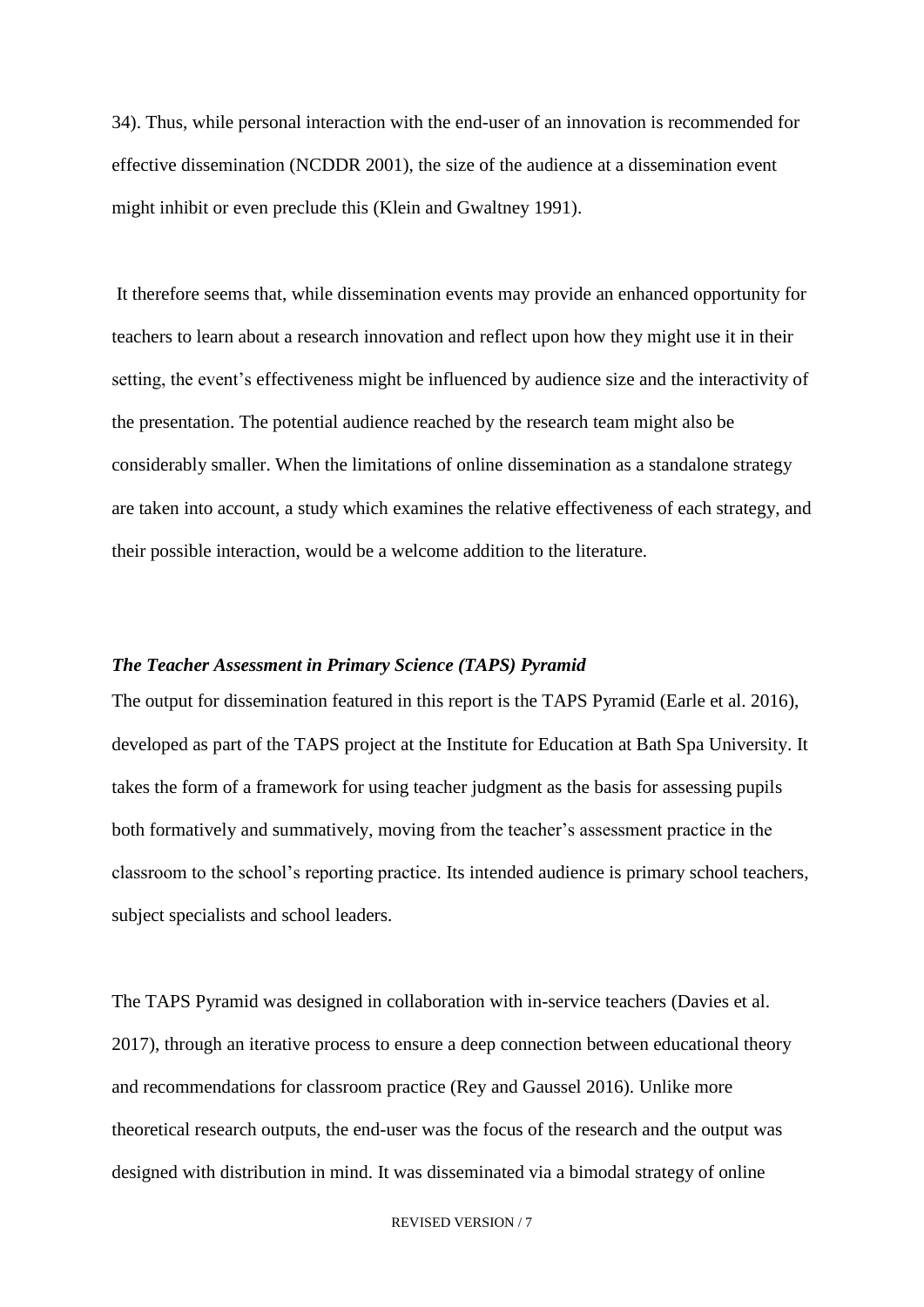34). Thus, while personal interaction with the end-user of an innovation is recommended for effective dissemination (NCDDR 2001), the size of the audience at a dissemination event might inhibit or even preclude this (Klein and Gwaltney 1991).

It therefore seems that, while dissemination events may provide an enhanced opportunity for teachers to learn about a research innovation and reflect upon how they might use it in their setting, the event's effectiveness might be influenced by audience size and the interactivity of the presentation. The potential audience reached by the research team might also be considerably smaller. When the limitations of online dissemination as a standalone strategy are taken into account, a study which examines the relative effectiveness of each strategy, and their possible interaction, would be a welcome addition to the literature.

#### *The Teacher Assessment in Primary Science (TAPS) Pyramid*

The output for dissemination featured in this report is the TAPS Pyramid (Earle et al. 2016), developed as part of the TAPS project at the Institute for Education at Bath Spa University. It takes the form of a framework for using teacher judgment as the basis for assessing pupils both formatively and summatively, moving from the teacher's assessment practice in the classroom to the school's reporting practice. Its intended audience is primary school teachers, subject specialists and school leaders.

The TAPS Pyramid was designed in collaboration with in-service teachers (Davies et al. 2017), through an iterative process to ensure a deep connection between educational theory and recommendations for classroom practice (Rey and Gaussel 2016). Unlike more theoretical research outputs, the end-user was the focus of the research and the output was designed with distribution in mind. It was disseminated via a bimodal strategy of online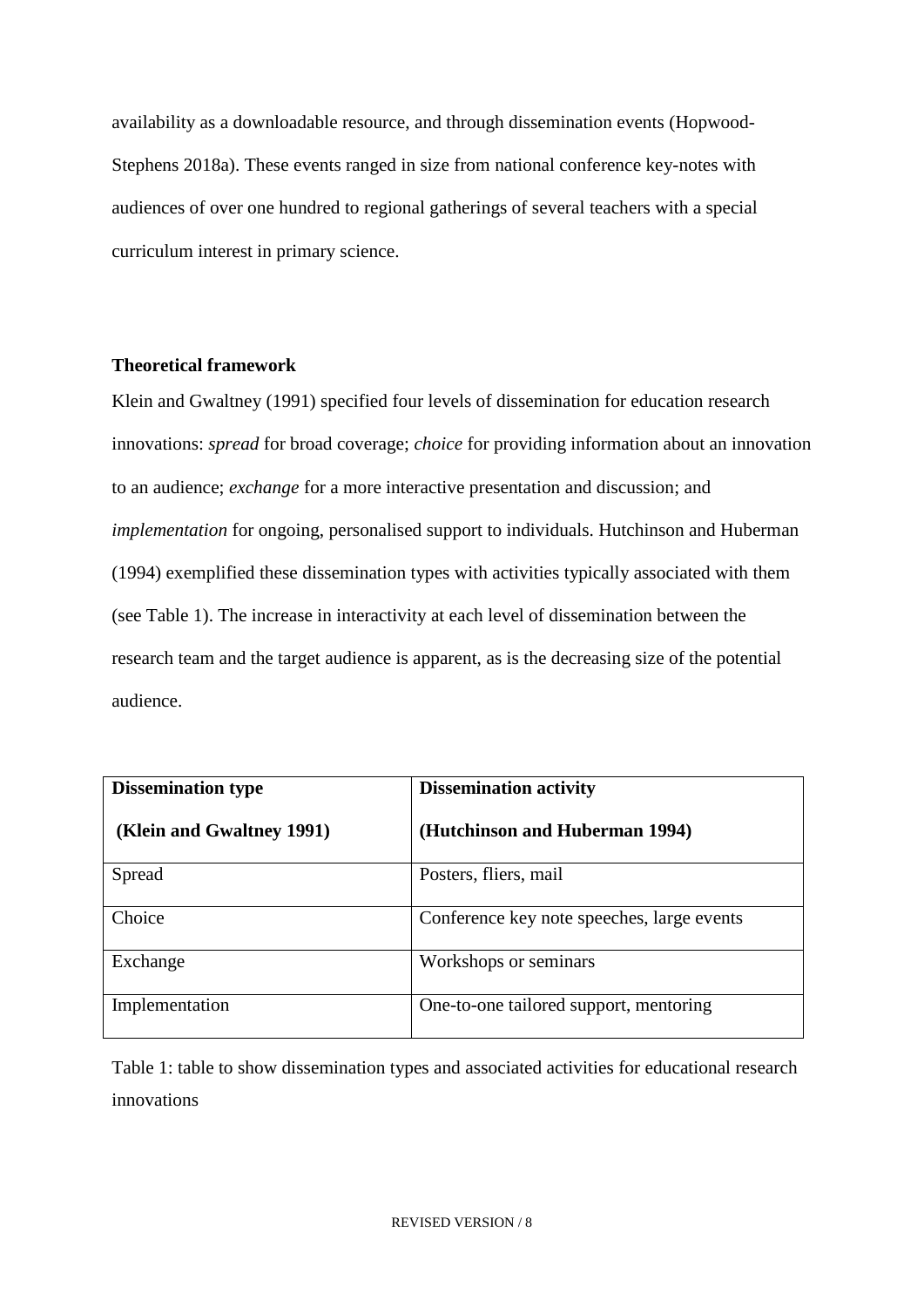availability as a downloadable resource, and through dissemination events (Hopwood-Stephens 2018a). These events ranged in size from national conference key-notes with audiences of over one hundred to regional gatherings of several teachers with a special curriculum interest in primary science.

#### **Theoretical framework**

Klein and Gwaltney (1991) specified four levels of dissemination for education research innovations: *spread* for broad coverage; *choice* for providing information about an innovation to an audience; *exchange* for a more interactive presentation and discussion; and *implementation* for ongoing, personalised support to individuals. Hutchinson and Huberman (1994) exemplified these dissemination types with activities typically associated with them (see Table 1). The increase in interactivity at each level of dissemination between the research team and the target audience is apparent, as is the decreasing size of the potential audience.

| <b>Dissemination type</b> | <b>Dissemination activity</b>              |  |  |
|---------------------------|--------------------------------------------|--|--|
| (Klein and Gwaltney 1991) | (Hutchinson and Huberman 1994)             |  |  |
| Spread                    | Posters, fliers, mail                      |  |  |
| Choice                    | Conference key note speeches, large events |  |  |
| Exchange                  | Workshops or seminars                      |  |  |
| Implementation            | One-to-one tailored support, mentoring     |  |  |

Table 1: table to show dissemination types and associated activities for educational research innovations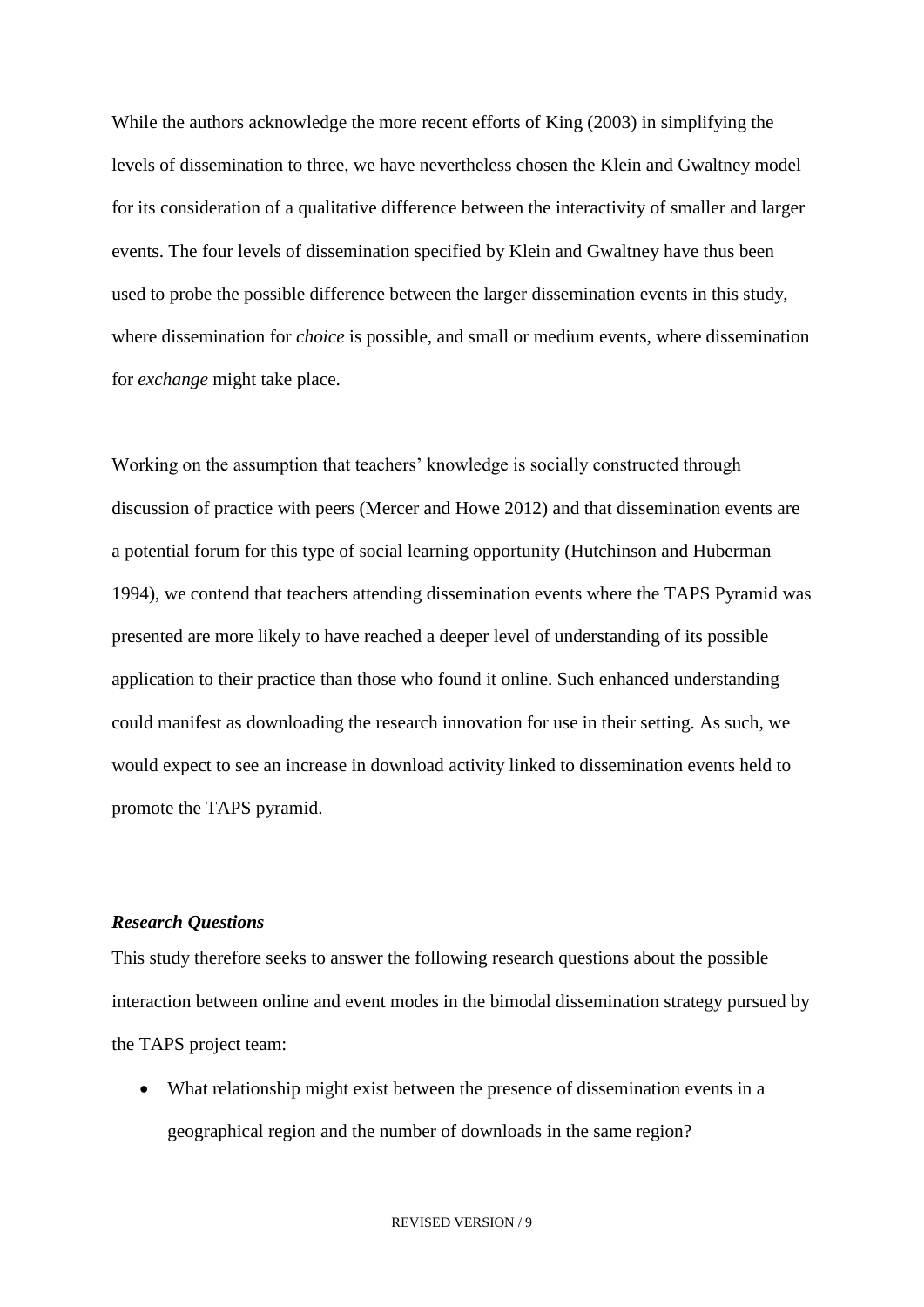While the authors acknowledge the more recent efforts of King (2003) in simplifying the levels of dissemination to three, we have nevertheless chosen the Klein and Gwaltney model for its consideration of a qualitative difference between the interactivity of smaller and larger events. The four levels of dissemination specified by Klein and Gwaltney have thus been used to probe the possible difference between the larger dissemination events in this study, where dissemination for *choice* is possible, and small or medium events, where dissemination for *exchange* might take place.

Working on the assumption that teachers' knowledge is socially constructed through discussion of practice with peers (Mercer and Howe 2012) and that dissemination events are a potential forum for this type of social learning opportunity (Hutchinson and Huberman 1994), we contend that teachers attending dissemination events where the TAPS Pyramid was presented are more likely to have reached a deeper level of understanding of its possible application to their practice than those who found it online. Such enhanced understanding could manifest as downloading the research innovation for use in their setting. As such, we would expect to see an increase in download activity linked to dissemination events held to promote the TAPS pyramid.

#### *Research Questions*

This study therefore seeks to answer the following research questions about the possible interaction between online and event modes in the bimodal dissemination strategy pursued by the TAPS project team:

 What relationship might exist between the presence of dissemination events in a geographical region and the number of downloads in the same region?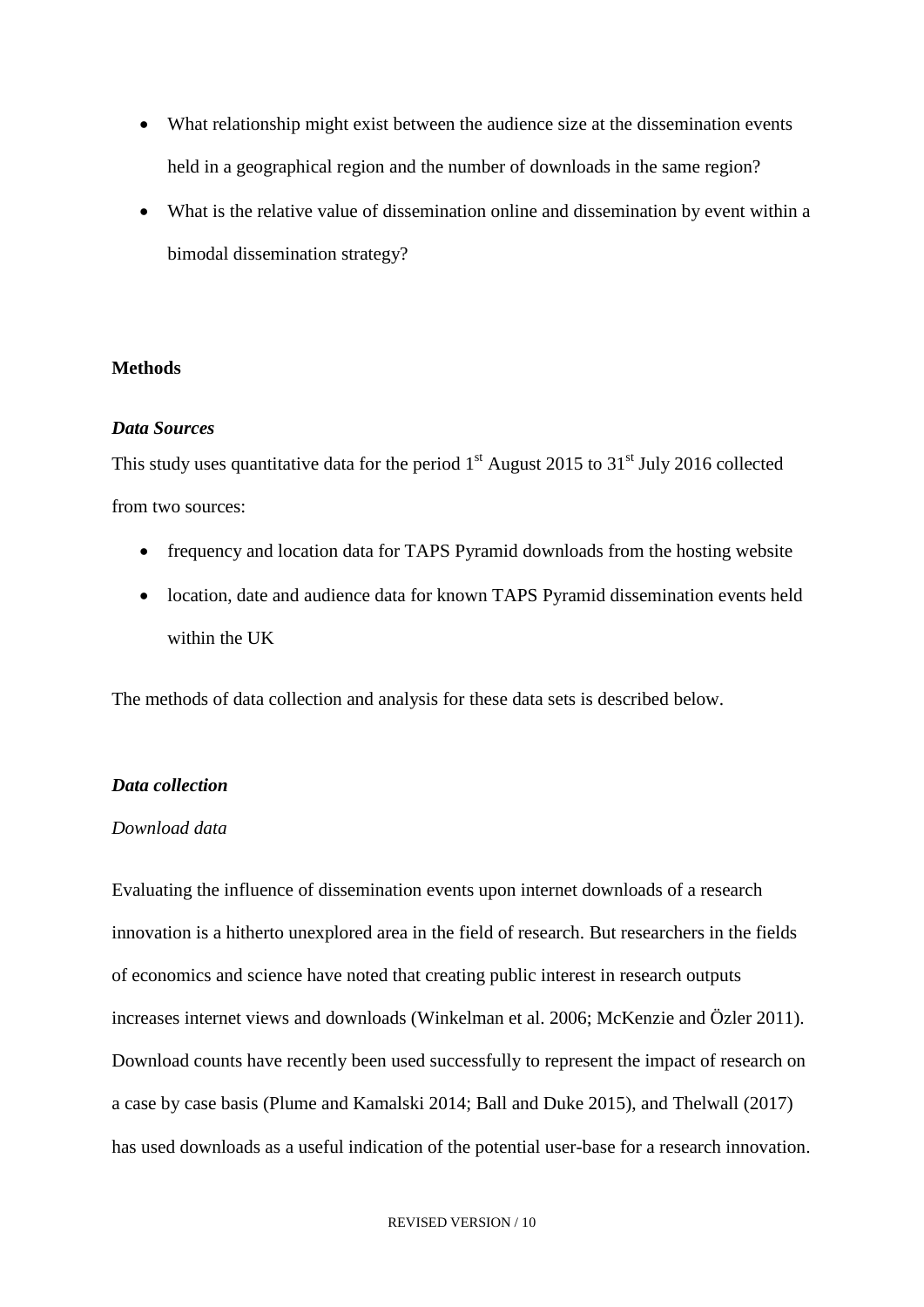- What relationship might exist between the audience size at the dissemination events held in a geographical region and the number of downloads in the same region?
- What is the relative value of dissemination online and dissemination by event within a bimodal dissemination strategy?

#### **Methods**

#### *Data Sources*

This study uses quantitative data for the period  $1<sup>st</sup>$  August 2015 to 31<sup>st</sup> July 2016 collected from two sources:

- frequency and location data for TAPS Pyramid downloads from the hosting website
- location, date and audience data for known TAPS Pyramid dissemination events held within the UK

The methods of data collection and analysis for these data sets is described below.

#### *Data collection*

#### *Download data*

Evaluating the influence of dissemination events upon internet downloads of a research innovation is a hitherto unexplored area in the field of research. But researchers in the fields of economics and science have noted that creating public interest in research outputs increases internet views and downloads (Winkelman et al. 2006; McKenzie and Özler 2011). Download counts have recently been used successfully to represent the impact of research on a case by case basis (Plume and Kamalski 2014; Ball and Duke 2015), and Thelwall (2017) has used downloads as a useful indication of the potential user-base for a research innovation.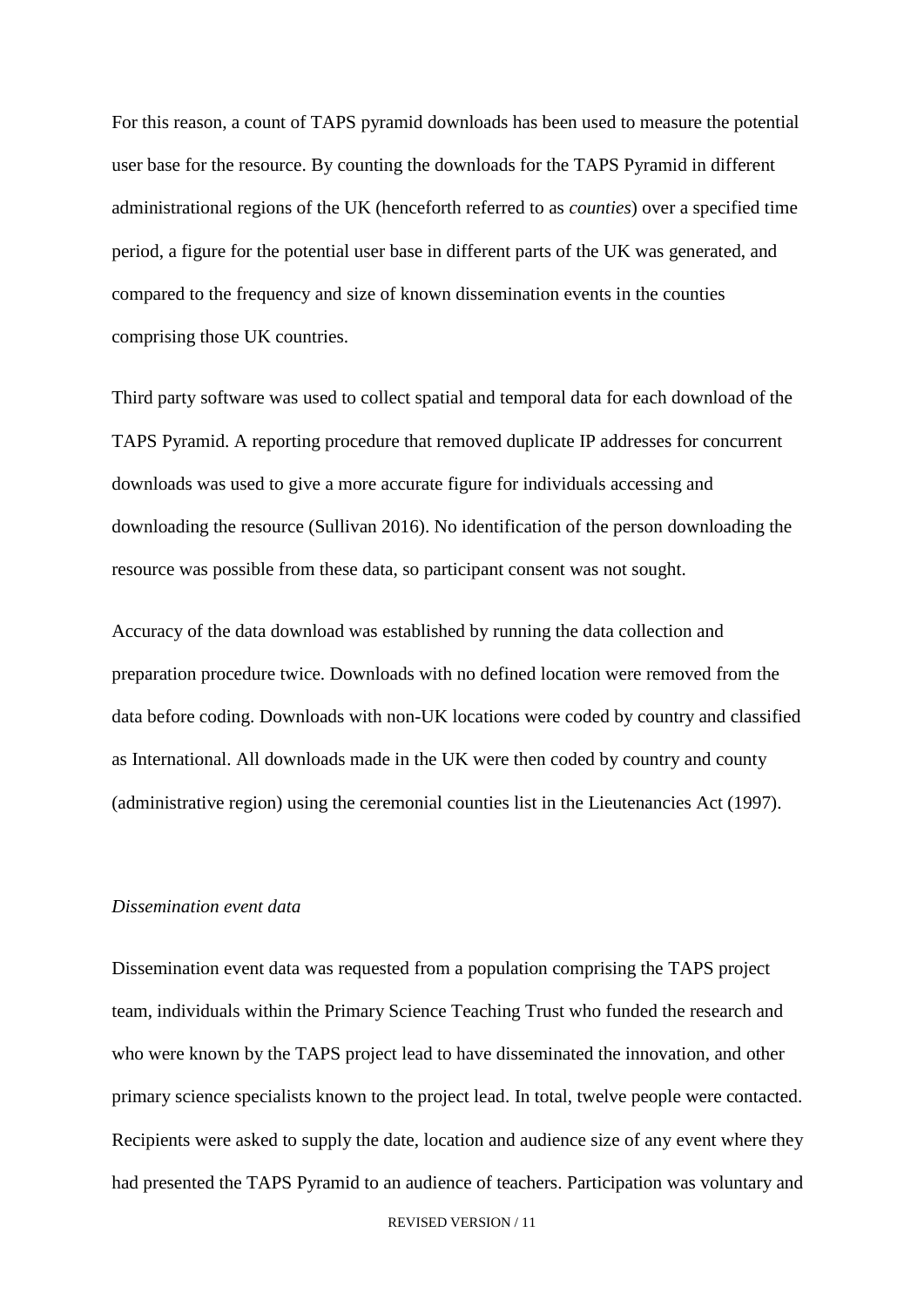For this reason, a count of TAPS pyramid downloads has been used to measure the potential user base for the resource. By counting the downloads for the TAPS Pyramid in different administrational regions of the UK (henceforth referred to as *counties*) over a specified time period, a figure for the potential user base in different parts of the UK was generated, and compared to the frequency and size of known dissemination events in the counties comprising those UK countries.

Third party software was used to collect spatial and temporal data for each download of the TAPS Pyramid. A reporting procedure that removed duplicate IP addresses for concurrent downloads was used to give a more accurate figure for individuals accessing and downloading the resource (Sullivan 2016). No identification of the person downloading the resource was possible from these data, so participant consent was not sought.

Accuracy of the data download was established by running the data collection and preparation procedure twice. Downloads with no defined location were removed from the data before coding. Downloads with non-UK locations were coded by country and classified as International. All downloads made in the UK were then coded by country and county (administrative region) using the ceremonial counties list in the Lieutenancies Act (1997).

#### *Dissemination event data*

Dissemination event data was requested from a population comprising the TAPS project team, individuals within the Primary Science Teaching Trust who funded the research and who were known by the TAPS project lead to have disseminated the innovation, and other primary science specialists known to the project lead. In total, twelve people were contacted. Recipients were asked to supply the date, location and audience size of any event where they had presented the TAPS Pyramid to an audience of teachers. Participation was voluntary and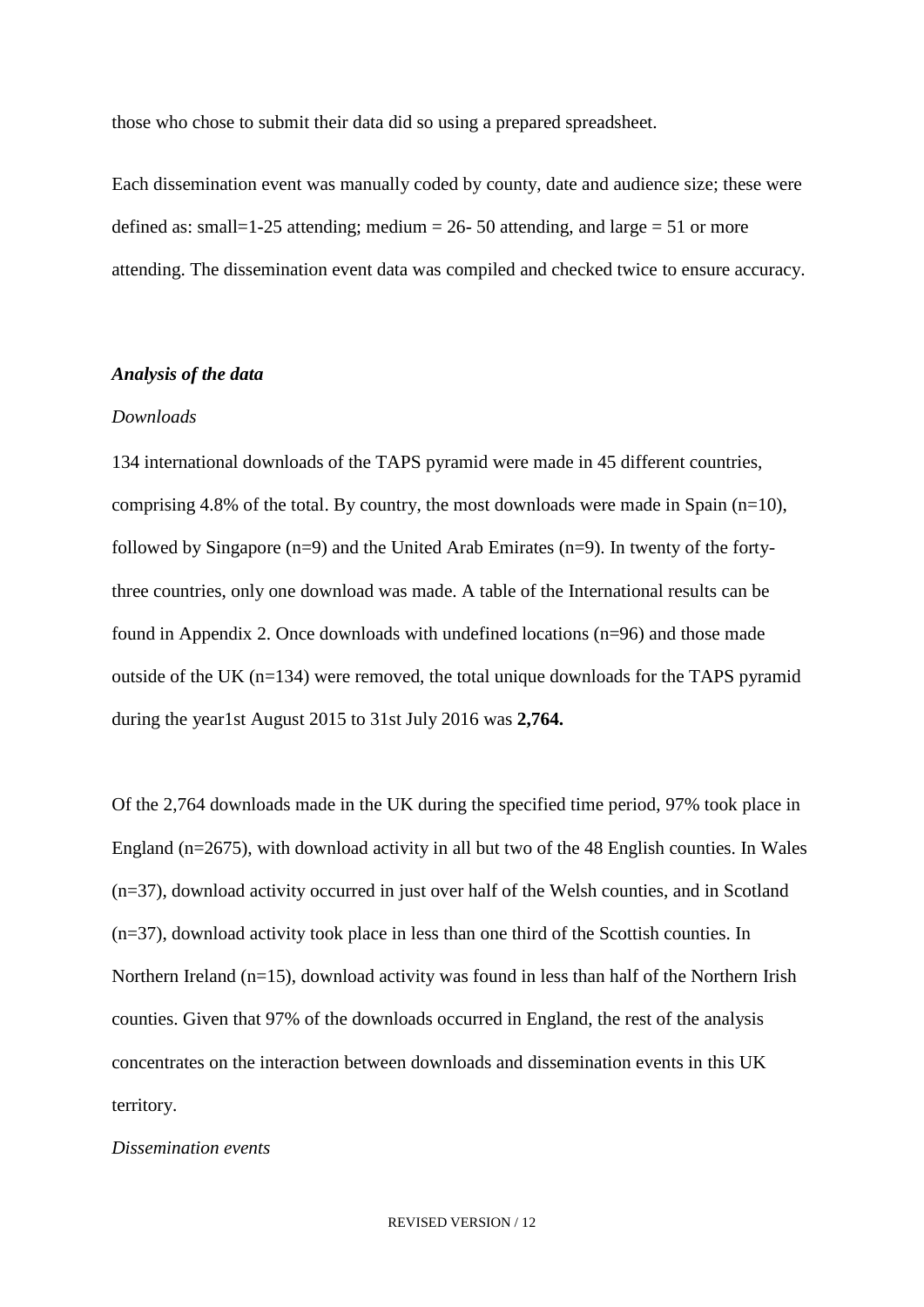those who chose to submit their data did so using a prepared spreadsheet.

Each dissemination event was manually coded by county, date and audience size; these were defined as: small=1-25 attending; medium = 26- 50 attending, and large = 51 or more attending. The dissemination event data was compiled and checked twice to ensure accuracy.

#### *Analysis of the data*

#### *Downloads*

134 international downloads of the TAPS pyramid were made in 45 different countries, comprising 4.8% of the total. By country, the most downloads were made in Spain (n=10), followed by Singapore  $(n=9)$  and the United Arab Emirates  $(n=9)$ . In twenty of the fortythree countries, only one download was made. A table of the International results can be found in Appendix 2. Once downloads with undefined locations (n=96) and those made outside of the UK (n=134) were removed, the total unique downloads for the TAPS pyramid during the year1st August 2015 to 31st July 2016 was **2,764.**

Of the 2,764 downloads made in the UK during the specified time period, 97% took place in England (n=2675), with download activity in all but two of the 48 English counties. In Wales (n=37), download activity occurred in just over half of the Welsh counties, and in Scotland (n=37), download activity took place in less than one third of the Scottish counties. In Northern Ireland (n=15), download activity was found in less than half of the Northern Irish counties. Given that 97% of the downloads occurred in England, the rest of the analysis concentrates on the interaction between downloads and dissemination events in this UK territory.

#### *Dissemination events*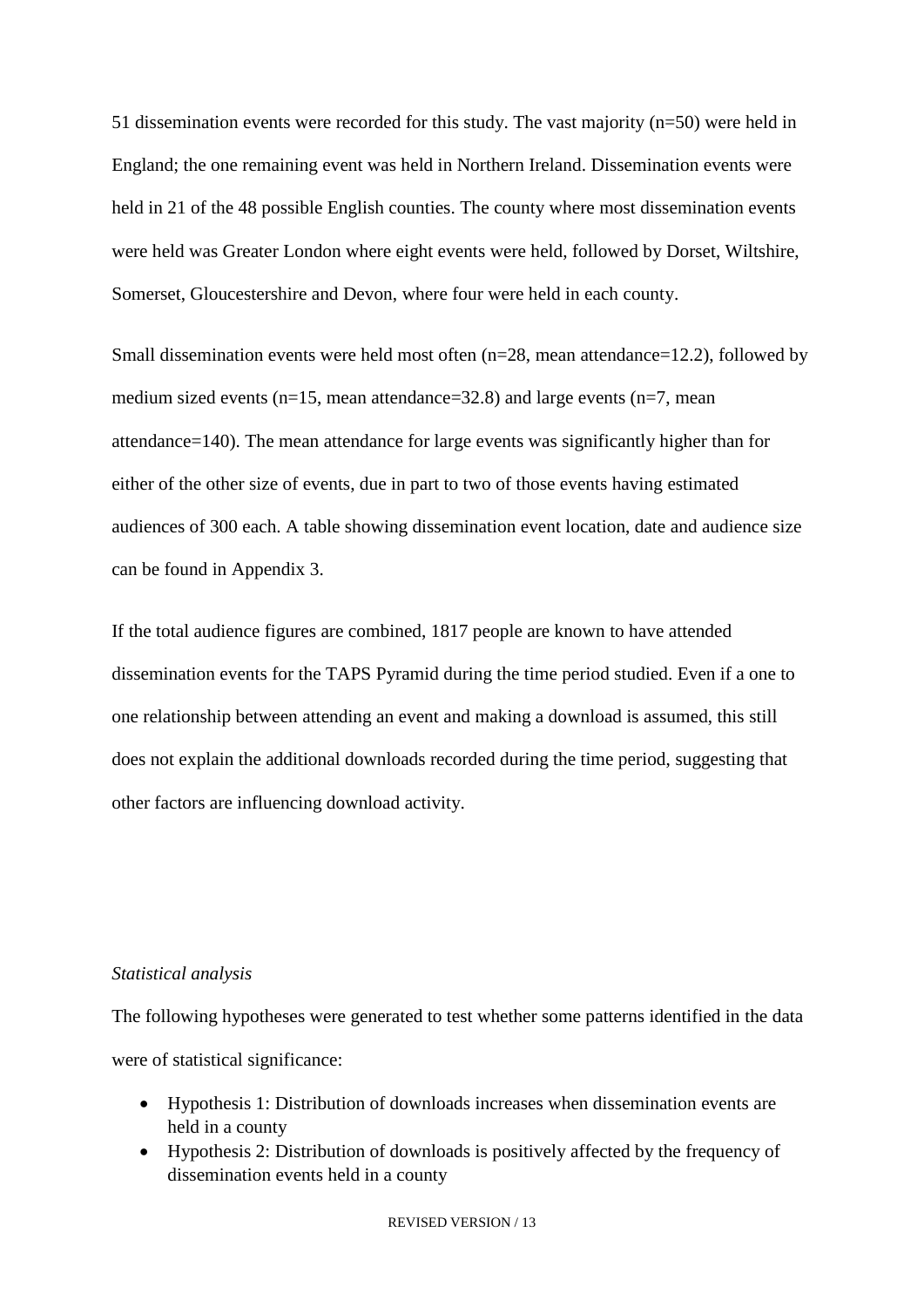51 dissemination events were recorded for this study. The vast majority (n=50) were held in England; the one remaining event was held in Northern Ireland. Dissemination events were held in 21 of the 48 possible English counties. The county where most dissemination events were held was Greater London where eight events were held, followed by Dorset, Wiltshire, Somerset, Gloucestershire and Devon, where four were held in each county.

Small dissemination events were held most often  $(n=28, \text{mean}$  attendance=12.2), followed by medium sized events ( $n=15$ , mean attendance=32.8) and large events ( $n=7$ , mean attendance=140). The mean attendance for large events was significantly higher than for either of the other size of events, due in part to two of those events having estimated audiences of 300 each. A table showing dissemination event location, date and audience size can be found in Appendix 3.

If the total audience figures are combined, 1817 people are known to have attended dissemination events for the TAPS Pyramid during the time period studied. Even if a one to one relationship between attending an event and making a download is assumed, this still does not explain the additional downloads recorded during the time period, suggesting that other factors are influencing download activity.

#### *Statistical analysis*

The following hypotheses were generated to test whether some patterns identified in the data were of statistical significance:

- Hypothesis 1: Distribution of downloads increases when dissemination events are held in a county
- Hypothesis 2: Distribution of downloads is positively affected by the frequency of dissemination events held in a county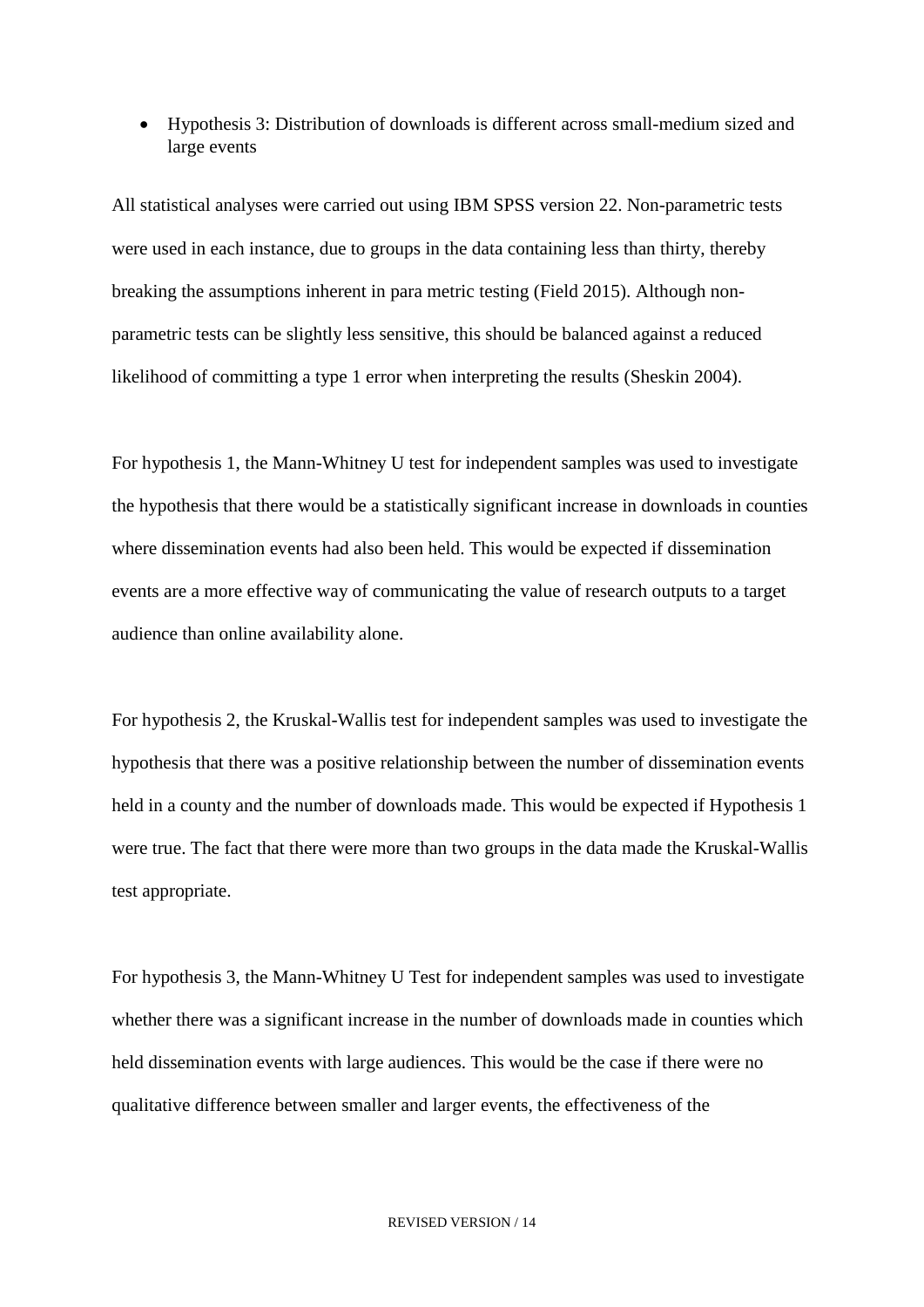Hypothesis 3: Distribution of downloads is different across small-medium sized and large events

All statistical analyses were carried out using IBM SPSS version 22. Non-parametric tests were used in each instance, due to groups in the data containing less than thirty, thereby breaking the assumptions inherent in para metric testing (Field 2015). Although nonparametric tests can be slightly less sensitive, this should be balanced against a reduced likelihood of committing a type 1 error when interpreting the results (Sheskin 2004).

For hypothesis 1, the Mann-Whitney U test for independent samples was used to investigate the hypothesis that there would be a statistically significant increase in downloads in counties where dissemination events had also been held. This would be expected if dissemination events are a more effective way of communicating the value of research outputs to a target audience than online availability alone.

For hypothesis 2, the Kruskal-Wallis test for independent samples was used to investigate the hypothesis that there was a positive relationship between the number of dissemination events held in a county and the number of downloads made. This would be expected if Hypothesis 1 were true. The fact that there were more than two groups in the data made the Kruskal-Wallis test appropriate.

For hypothesis 3, the Mann-Whitney U Test for independent samples was used to investigate whether there was a significant increase in the number of downloads made in counties which held dissemination events with large audiences. This would be the case if there were no qualitative difference between smaller and larger events, the effectiveness of the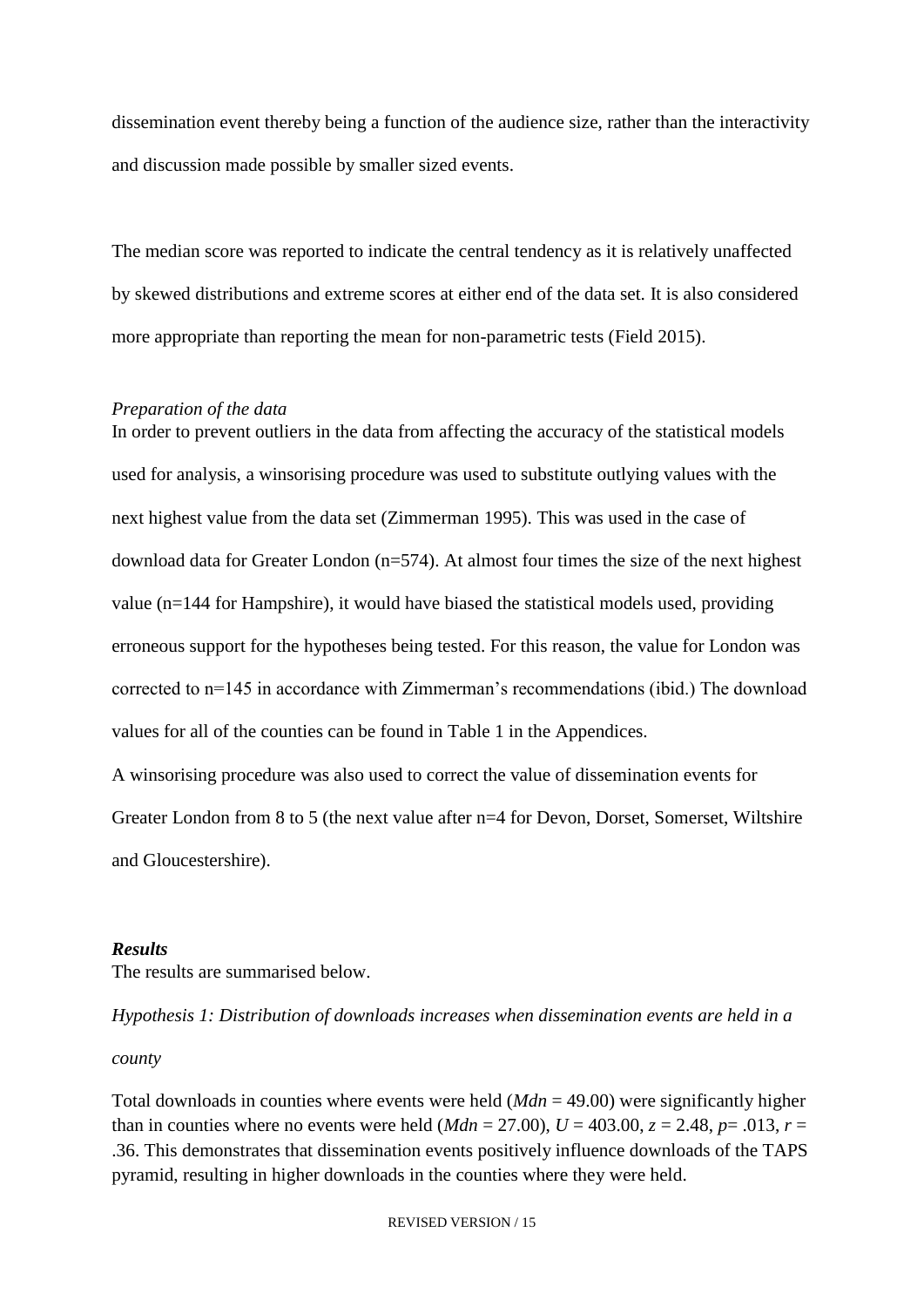dissemination event thereby being a function of the audience size, rather than the interactivity and discussion made possible by smaller sized events.

The median score was reported to indicate the central tendency as it is relatively unaffected by skewed distributions and extreme scores at either end of the data set. It is also considered more appropriate than reporting the mean for non-parametric tests (Field 2015).

#### *Preparation of the data*

In order to prevent outliers in the data from affecting the accuracy of the statistical models used for analysis, a winsorising procedure was used to substitute outlying values with the next highest value from the data set (Zimmerman 1995). This was used in the case of download data for Greater London (n=574). At almost four times the size of the next highest value (n=144 for Hampshire), it would have biased the statistical models used, providing erroneous support for the hypotheses being tested. For this reason, the value for London was corrected to n=145 in accordance with Zimmerman's recommendations (ibid.) The download values for all of the counties can be found in Table 1 in the Appendices.

A winsorising procedure was also used to correct the value of dissemination events for Greater London from 8 to 5 (the next value after n=4 for Devon, Dorset, Somerset, Wiltshire and Gloucestershire).

#### *Results*

The results are summarised below.

*Hypothesis 1: Distribution of downloads increases when dissemination events are held in a county*

Total downloads in counties where events were held (*Mdn* = 49.00) were significantly higher than in counties where no events were held ( $Mdn = 27.00$ ),  $U = 403.00$ ,  $z = 2.48$ ,  $p = .013$ ,  $r =$ .36. This demonstrates that dissemination events positively influence downloads of the TAPS pyramid, resulting in higher downloads in the counties where they were held.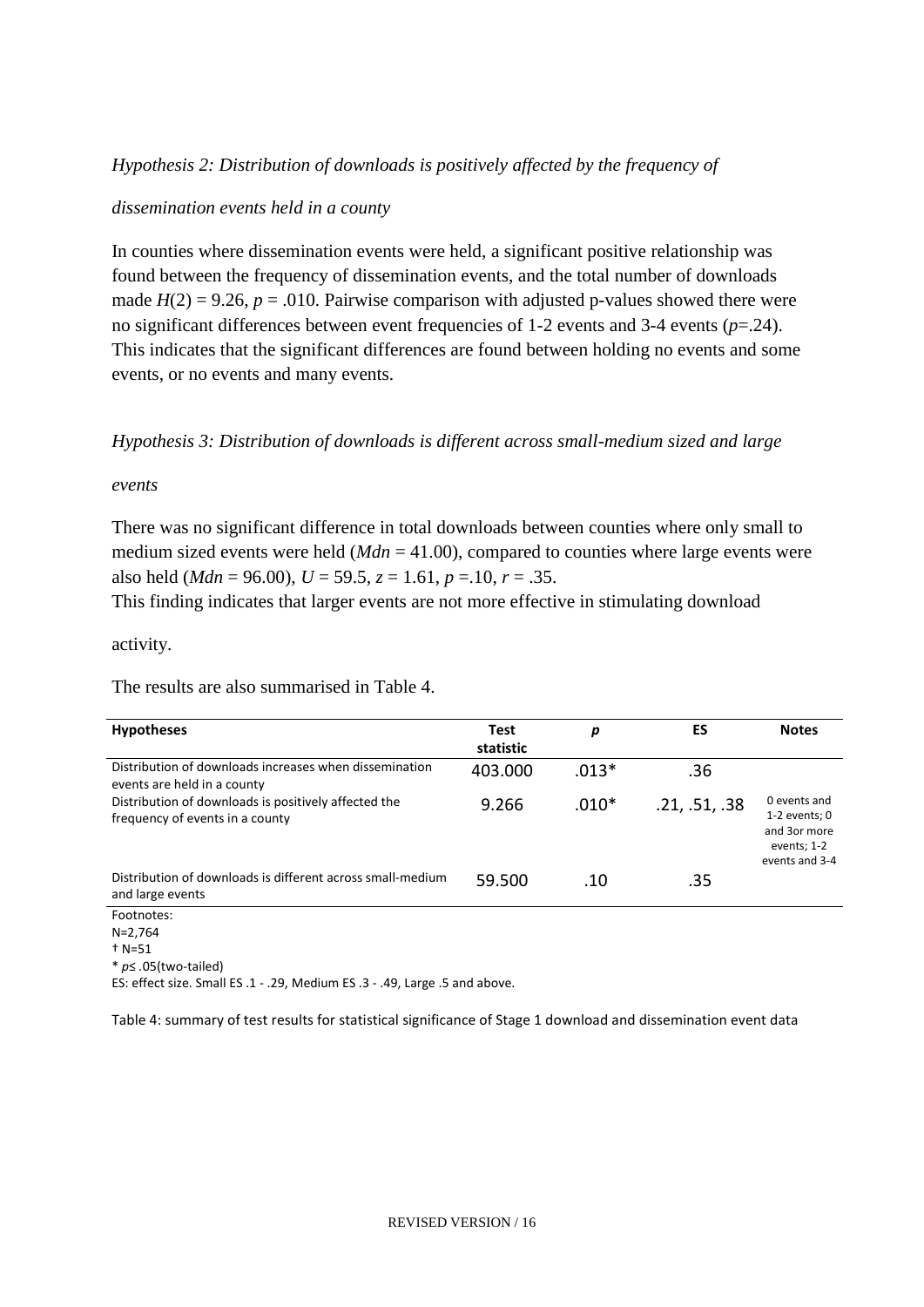#### *Hypothesis 2: Distribution of downloads is positively affected by the frequency of*

#### *dissemination events held in a county*

In counties where dissemination events were held, a significant positive relationship was found between the frequency of dissemination events, and the total number of downloads made  $H(2) = 9.26$ ,  $p = .010$ . Pairwise comparison with adjusted p-values showed there were no significant differences between event frequencies of 1-2 events and 3-4 events (*p*=.24). This indicates that the significant differences are found between holding no events and some events, or no events and many events.

#### *Hypothesis 3: Distribution of downloads is different across small-medium sized and large*

#### *events*

There was no significant difference in total downloads between counties where only small to medium sized events were held (*Mdn* = 41.00), compared to counties where large events were also held (*Mdn* = 96.00),  $U = 59.5$ ,  $z = 1.61$ ,  $p = 10$ ,  $r = .35$ .

This finding indicates that larger events are not more effective in stimulating download

activity.

The results are also summarised in Table 4.

| <b>Hypotheses</b>                                                                       | <b>Test</b><br>statistic | р       | ES            | <b>Notes</b>                                                                       |
|-----------------------------------------------------------------------------------------|--------------------------|---------|---------------|------------------------------------------------------------------------------------|
| Distribution of downloads increases when dissemination<br>events are held in a county   | 403.000                  | $.013*$ | .36           |                                                                                    |
| Distribution of downloads is positively affected the<br>frequency of events in a county | 9.266                    | $.010*$ | .21, .51, .38 | 0 events and<br>$1-2$ events; $0$<br>and 3or more<br>events; 1-2<br>events and 3-4 |
| Distribution of downloads is different across small-medium<br>and large events          | 59.500                   | .10     | .35           |                                                                                    |
| Footnotes:                                                                              |                          |         |               |                                                                                    |
| $N = 2,764$                                                                             |                          |         |               |                                                                                    |
| † N=51                                                                                  |                          |         |               |                                                                                    |

\* *p*≤ *.*05(two-tailed)

ES: effect size. Small ES .1 - .29, Medium ES .3 - .49, Large .5 and above.

Table 4: summary of test results for statistical significance of Stage 1 download and dissemination event data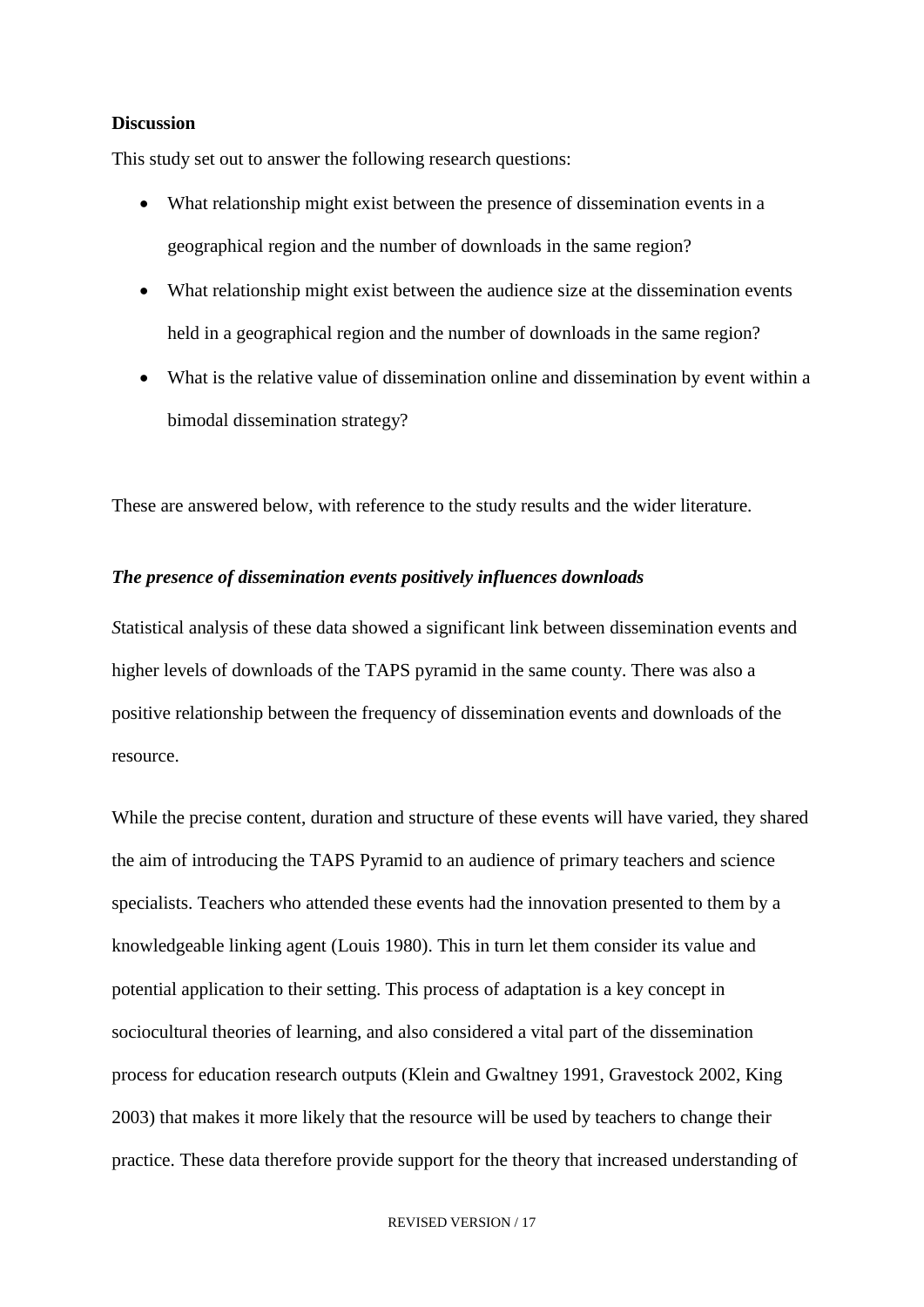#### **Discussion**

This study set out to answer the following research questions:

- What relationship might exist between the presence of dissemination events in a geographical region and the number of downloads in the same region?
- What relationship might exist between the audience size at the dissemination events held in a geographical region and the number of downloads in the same region?
- What is the relative value of dissemination online and dissemination by event within a bimodal dissemination strategy?

These are answered below, with reference to the study results and the wider literature.

#### *The presence of dissemination events positively influences downloads*

*S*tatistical analysis of these data showed a significant link between dissemination events and higher levels of downloads of the TAPS pyramid in the same county. There was also a positive relationship between the frequency of dissemination events and downloads of the resource.

While the precise content, duration and structure of these events will have varied, they shared the aim of introducing the TAPS Pyramid to an audience of primary teachers and science specialists. Teachers who attended these events had the innovation presented to them by a knowledgeable linking agent (Louis 1980). This in turn let them consider its value and potential application to their setting. This process of adaptation is a key concept in sociocultural theories of learning, and also considered a vital part of the dissemination process for education research outputs (Klein and Gwaltney 1991, Gravestock 2002, King 2003) that makes it more likely that the resource will be used by teachers to change their practice. These data therefore provide support for the theory that increased understanding of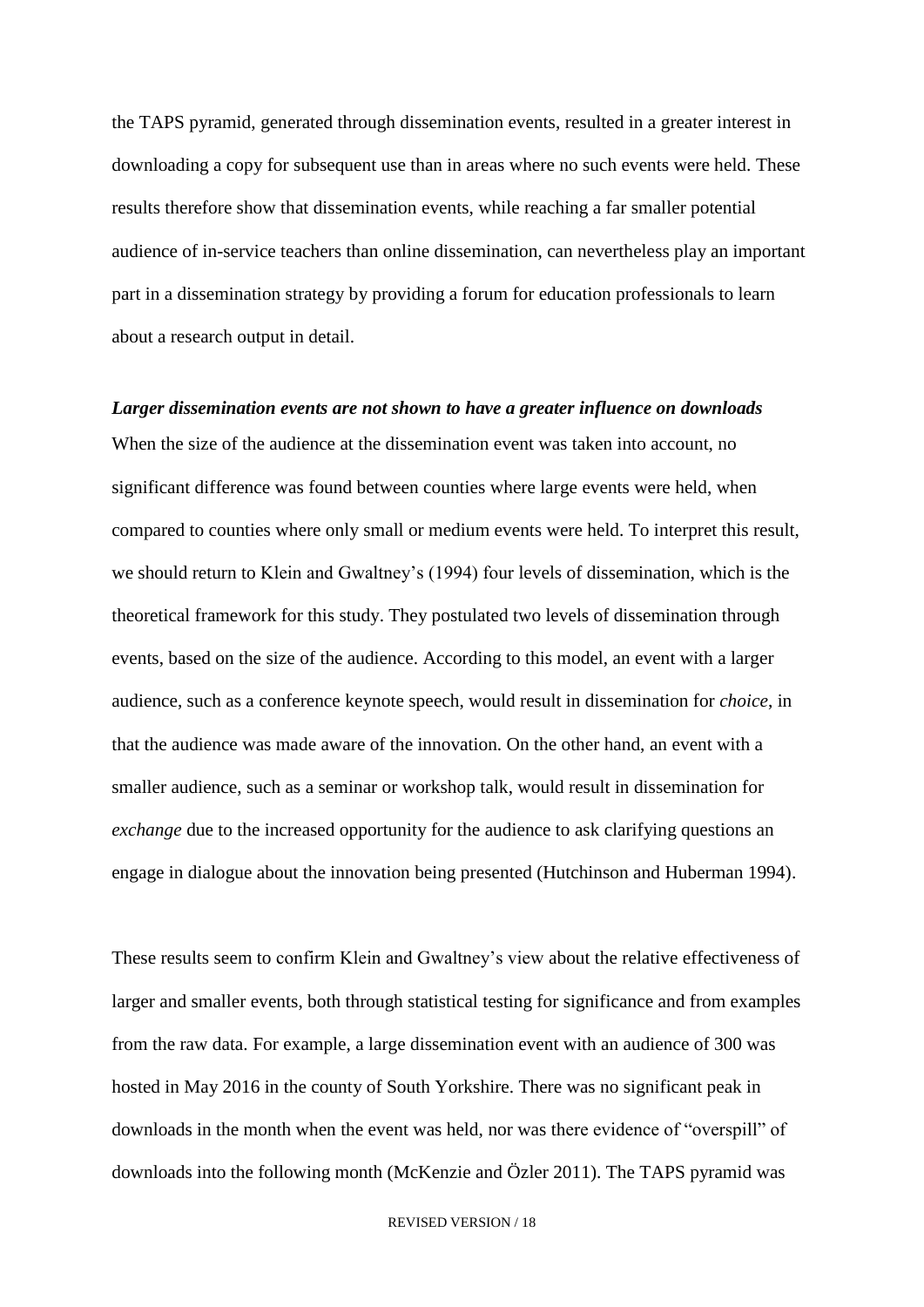the TAPS pyramid, generated through dissemination events, resulted in a greater interest in downloading a copy for subsequent use than in areas where no such events were held. These results therefore show that dissemination events, while reaching a far smaller potential audience of in-service teachers than online dissemination, can nevertheless play an important part in a dissemination strategy by providing a forum for education professionals to learn about a research output in detail.

#### *Larger dissemination events are not shown to have a greater influence on downloads*

When the size of the audience at the dissemination event was taken into account, no significant difference was found between counties where large events were held, when compared to counties where only small or medium events were held. To interpret this result, we should return to Klein and Gwaltney's (1994) four levels of dissemination, which is the theoretical framework for this study. They postulated two levels of dissemination through events, based on the size of the audience. According to this model, an event with a larger audience, such as a conference keynote speech, would result in dissemination for *choice*, in that the audience was made aware of the innovation. On the other hand, an event with a smaller audience, such as a seminar or workshop talk, would result in dissemination for *exchange* due to the increased opportunity for the audience to ask clarifying questions an engage in dialogue about the innovation being presented (Hutchinson and Huberman 1994).

These results seem to confirm Klein and Gwaltney's view about the relative effectiveness of larger and smaller events, both through statistical testing for significance and from examples from the raw data. For example, a large dissemination event with an audience of 300 was hosted in May 2016 in the county of South Yorkshire. There was no significant peak in downloads in the month when the event was held, nor was there evidence of "overspill" of downloads into the following month (McKenzie and Özler 2011). The TAPS pyramid was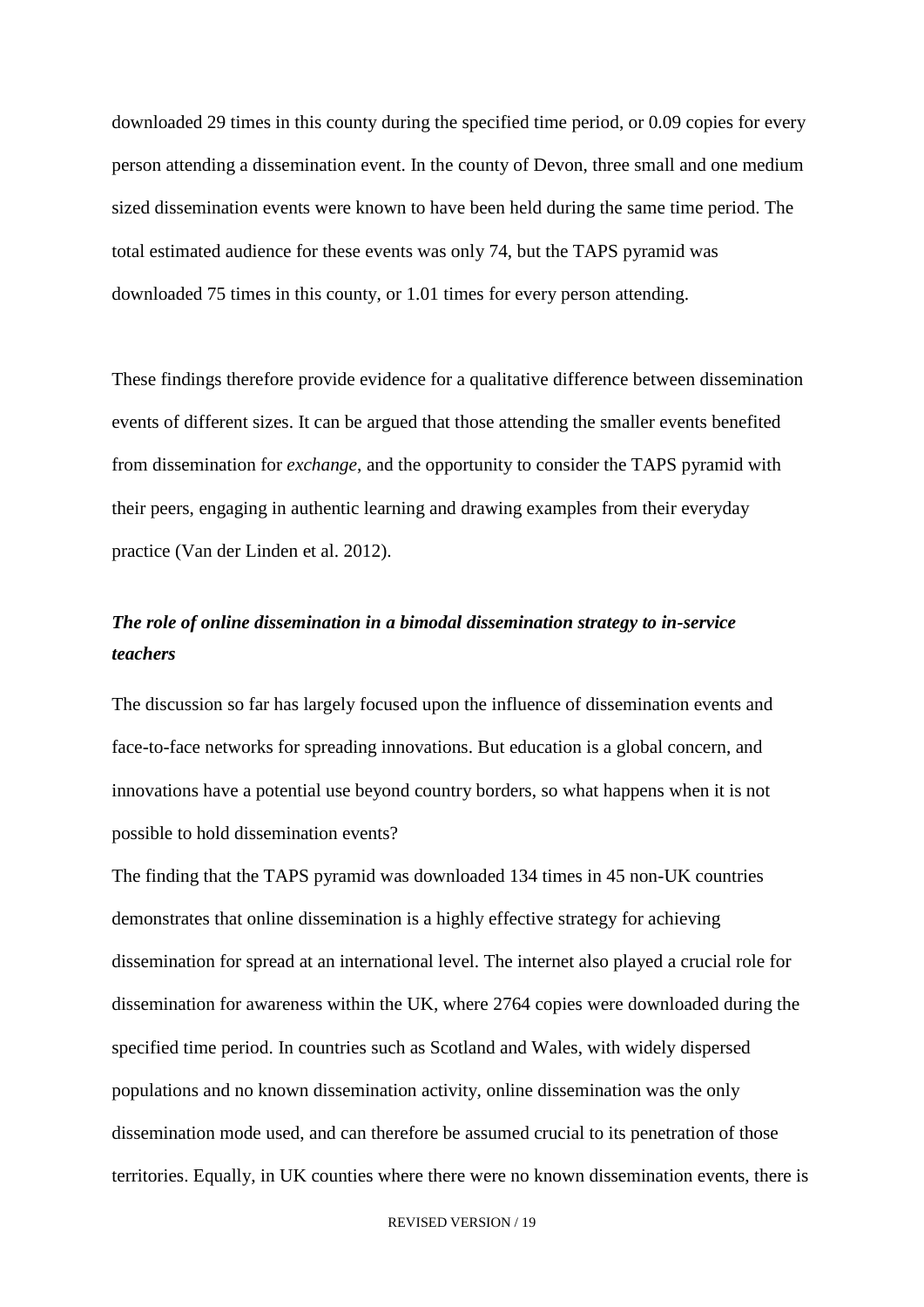downloaded 29 times in this county during the specified time period, or 0.09 copies for every person attending a dissemination event. In the county of Devon, three small and one medium sized dissemination events were known to have been held during the same time period. The total estimated audience for these events was only 74, but the TAPS pyramid was downloaded 75 times in this county, or 1.01 times for every person attending.

These findings therefore provide evidence for a qualitative difference between dissemination events of different sizes. It can be argued that those attending the smaller events benefited from dissemination for *exchange*, and the opportunity to consider the TAPS pyramid with their peers, engaging in authentic learning and drawing examples from their everyday practice (Van der Linden et al. 2012).

### *The role of online dissemination in a bimodal dissemination strategy to in-service teachers*

The discussion so far has largely focused upon the influence of dissemination events and face-to-face networks for spreading innovations. But education is a global concern, and innovations have a potential use beyond country borders, so what happens when it is not possible to hold dissemination events?

The finding that the TAPS pyramid was downloaded 134 times in 45 non-UK countries demonstrates that online dissemination is a highly effective strategy for achieving dissemination for spread at an international level. The internet also played a crucial role for dissemination for awareness within the UK, where 2764 copies were downloaded during the specified time period. In countries such as Scotland and Wales, with widely dispersed populations and no known dissemination activity, online dissemination was the only dissemination mode used, and can therefore be assumed crucial to its penetration of those territories. Equally, in UK counties where there were no known dissemination events, there is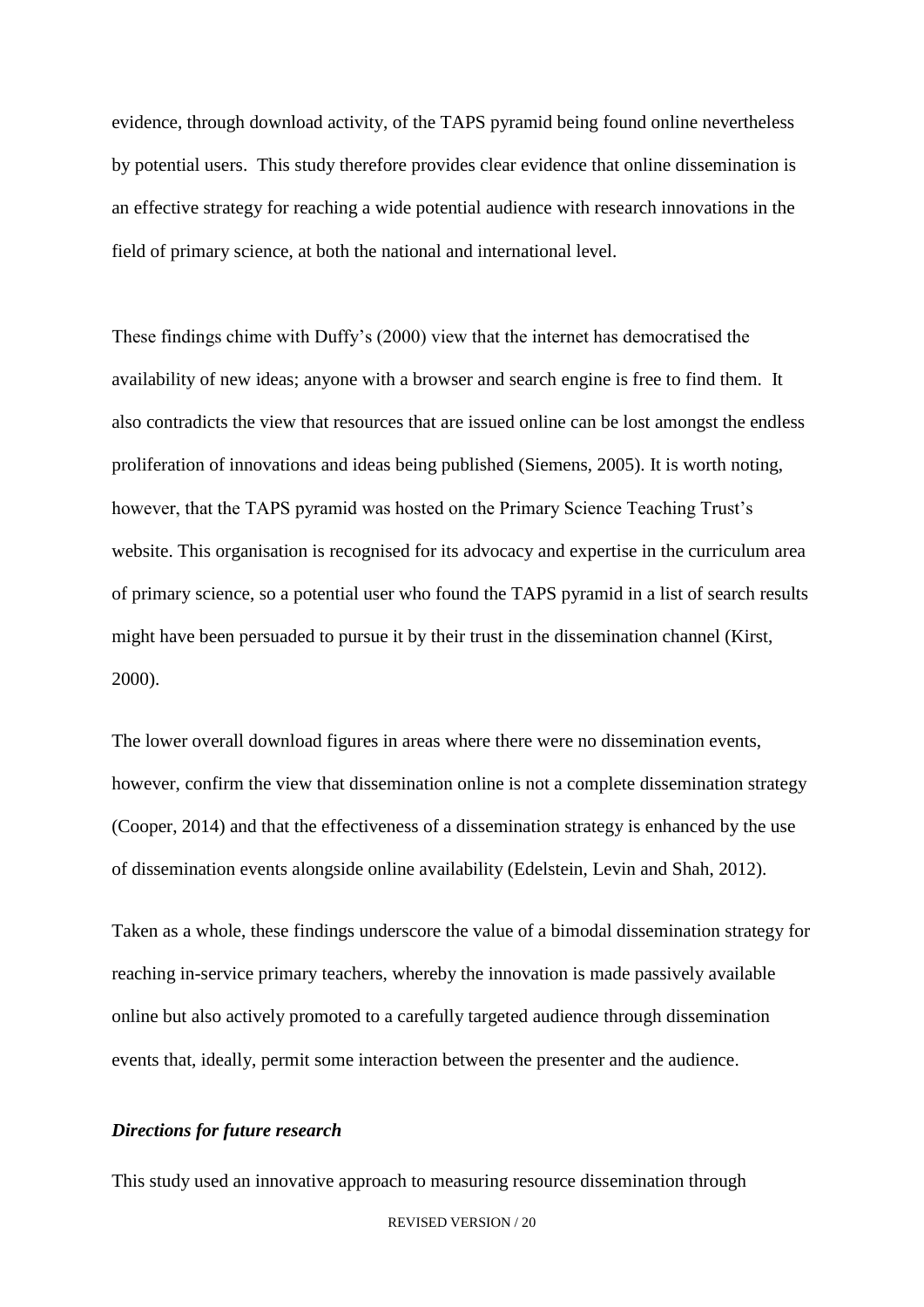evidence, through download activity, of the TAPS pyramid being found online nevertheless by potential users. This study therefore provides clear evidence that online dissemination is an effective strategy for reaching a wide potential audience with research innovations in the field of primary science, at both the national and international level.

These findings chime with Duffy's (2000) view that the internet has democratised the availability of new ideas; anyone with a browser and search engine is free to find them. It also contradicts the view that resources that are issued online can be lost amongst the endless proliferation of innovations and ideas being published (Siemens, 2005). It is worth noting, however, that the TAPS pyramid was hosted on the Primary Science Teaching Trust's website. This organisation is recognised for its advocacy and expertise in the curriculum area of primary science, so a potential user who found the TAPS pyramid in a list of search results might have been persuaded to pursue it by their trust in the dissemination channel (Kirst, 2000).

The lower overall download figures in areas where there were no dissemination events, however, confirm the view that dissemination online is not a complete dissemination strategy (Cooper, 2014) and that the effectiveness of a dissemination strategy is enhanced by the use of dissemination events alongside online availability (Edelstein, Levin and Shah, 2012).

Taken as a whole, these findings underscore the value of a bimodal dissemination strategy for reaching in-service primary teachers, whereby the innovation is made passively available online but also actively promoted to a carefully targeted audience through dissemination events that, ideally, permit some interaction between the presenter and the audience.

#### *Directions for future research*

This study used an innovative approach to measuring resource dissemination through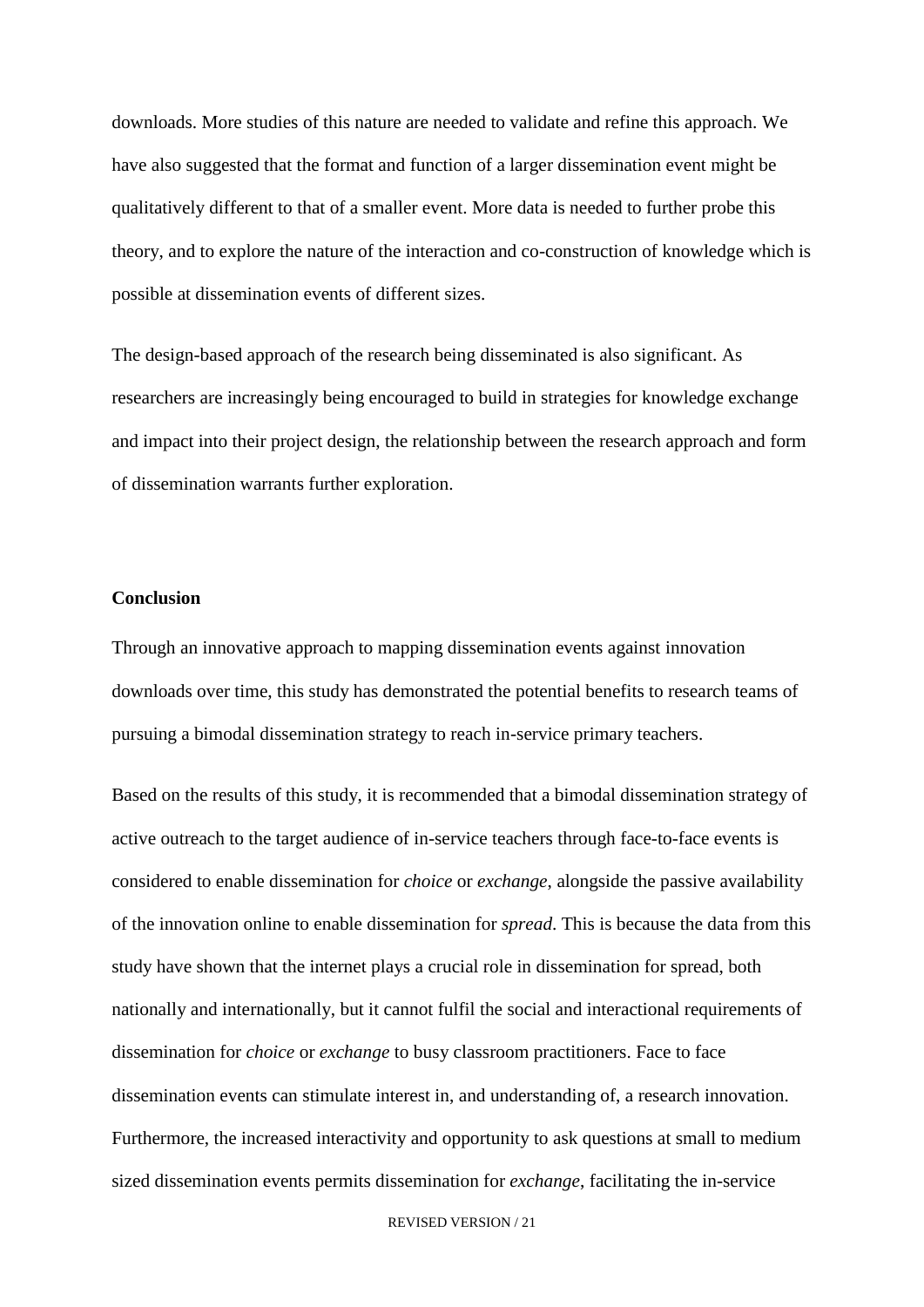downloads. More studies of this nature are needed to validate and refine this approach. We have also suggested that the format and function of a larger dissemination event might be qualitatively different to that of a smaller event. More data is needed to further probe this theory, and to explore the nature of the interaction and co-construction of knowledge which is possible at dissemination events of different sizes.

The design-based approach of the research being disseminated is also significant. As researchers are increasingly being encouraged to build in strategies for knowledge exchange and impact into their project design, the relationship between the research approach and form of dissemination warrants further exploration.

#### **Conclusion**

Through an innovative approach to mapping dissemination events against innovation downloads over time, this study has demonstrated the potential benefits to research teams of pursuing a bimodal dissemination strategy to reach in-service primary teachers.

Based on the results of this study, it is recommended that a bimodal dissemination strategy of active outreach to the target audience of in-service teachers through face-to-face events is considered to enable dissemination for *choice* or *exchange*, alongside the passive availability of the innovation online to enable dissemination for *spread*. This is because the data from this study have shown that the internet plays a crucial role in dissemination for spread, both nationally and internationally, but it cannot fulfil the social and interactional requirements of dissemination for *choice* or *exchange* to busy classroom practitioners. Face to face dissemination events can stimulate interest in, and understanding of, a research innovation. Furthermore, the increased interactivity and opportunity to ask questions at small to medium sized dissemination events permits dissemination for *exchange*, facilitating the in-service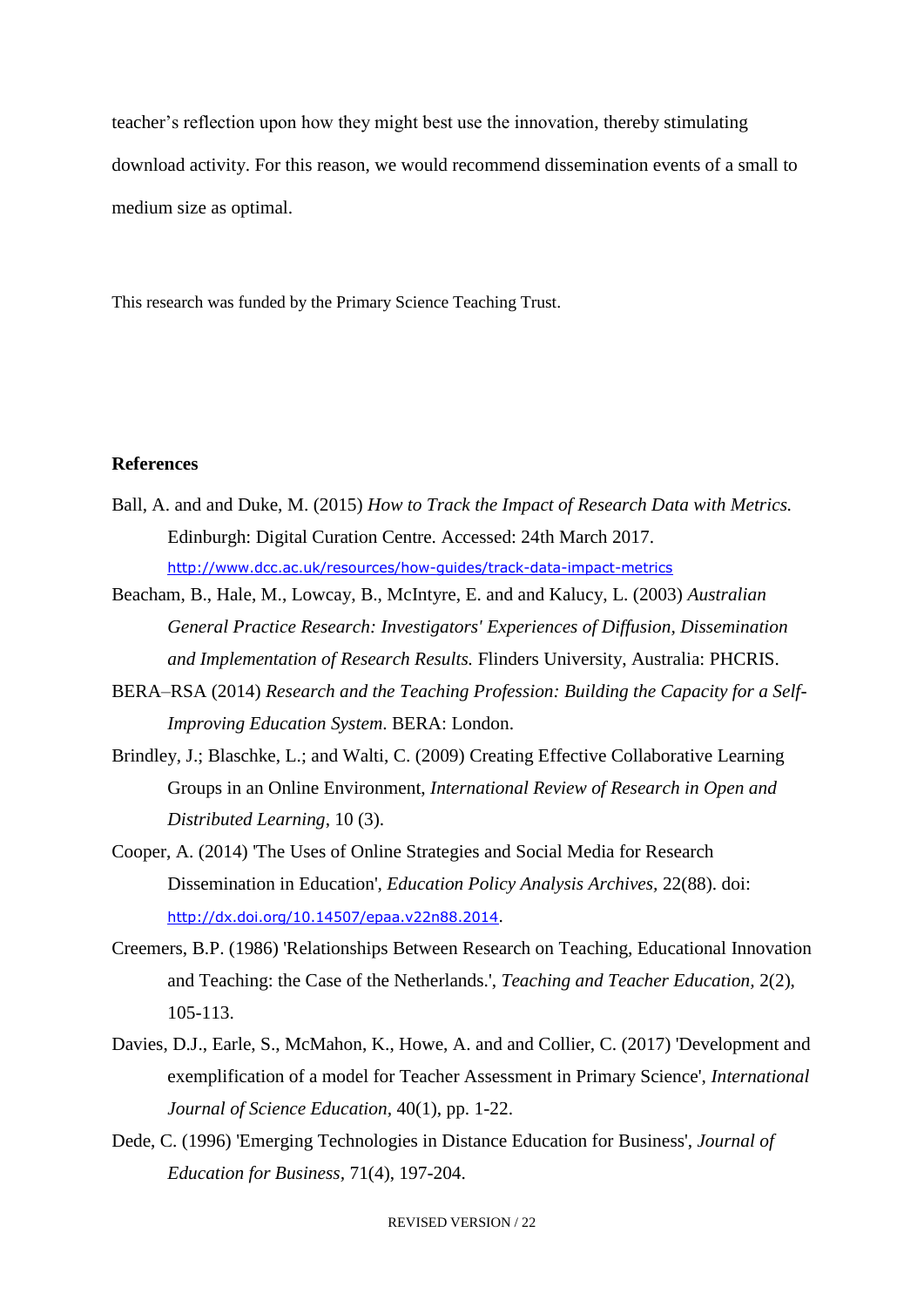teacher's reflection upon how they might best use the innovation, thereby stimulating download activity. For this reason, we would recommend dissemination events of a small to medium size as optimal.

This research was funded by the Primary Science Teaching Trust.

#### **References**

- Ball, A. and and Duke, M. (2015) *How to Track the Impact of Research Data with Metrics.*  Edinburgh: Digital Curation Centre. Accessed: 24th March 2017. <http://www.dcc.ac.uk/resources/how-guides/track-data-impact-metrics>
- Beacham, B., Hale, M., Lowcay, B., McIntyre, E. and and Kalucy, L. (2003) *Australian General Practice Research: Investigators' Experiences of Diffusion, Dissemination and Implementation of Research Results.* Flinders University, Australia: PHCRIS.
- BERA–RSA (2014) *Research and the Teaching Profession: Building the Capacity for a Self-Improving Education System*. BERA: London.
- Brindley, J.; Blaschke, L.; and Walti, C. (2009) Creating Effective Collaborative Learning Groups in an Online Environment, *International Review of Research in Open and Distributed Learning*, 10 (3).
- Cooper, A. (2014) 'The Uses of Online Strategies and Social Media for Research Dissemination in Education', *Education Policy Analysis Archives,* 22(88). doi: <http://dx.doi.org/10.14507/epaa.v22n88.2014>.
- Creemers, B.P. (1986) 'Relationships Between Research on Teaching, Educational Innovation and Teaching: the Case of the Netherlands.', *Teaching and Teacher Education,* 2(2), 105-113.
- Davies, D.J., Earle, S., McMahon, K., Howe, A. and and Collier, C. (2017) 'Development and exemplification of a model for Teacher Assessment in Primary Science', *International Journal of Science Education,* 40(1), pp. 1-22.
- Dede, C. (1996) 'Emerging Technologies in Distance Education for Business', *Journal of Education for Business,* 71(4), 197-204.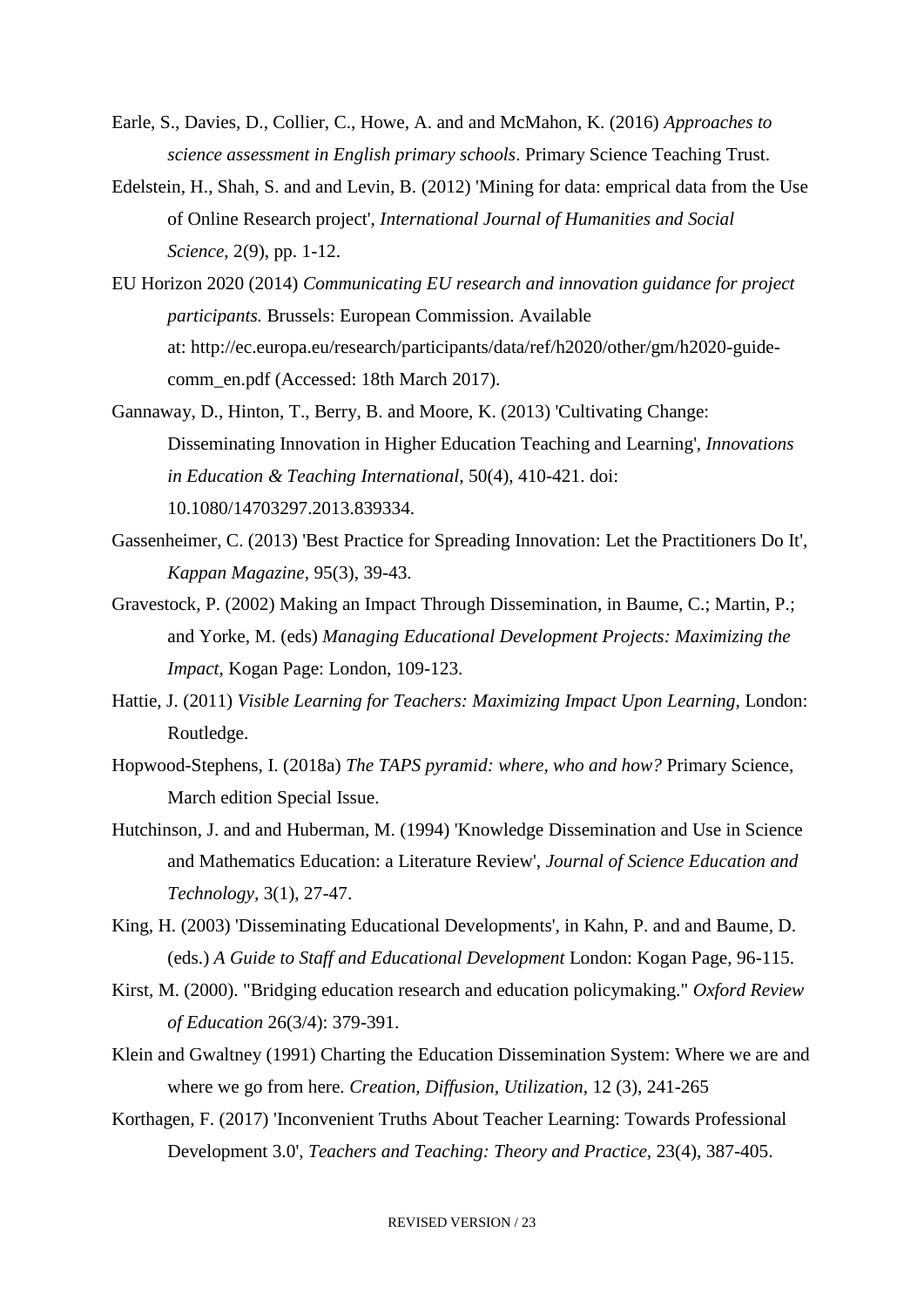- Earle, S., Davies, D., Collier, C., Howe, A. and and McMahon, K. (2016) *Approaches to science assessment in English primary schools*. Primary Science Teaching Trust.
- Edelstein, H., Shah, S. and and Levin, B. (2012) 'Mining for data: emprical data from the Use of Online Research project', *International Journal of Humanities and Social Science*, 2(9), pp. 1-12.
- EU Horizon 2020 (2014) *Communicating EU research and innovation guidance for project participants.* Brussels: European Commission. Available at: [http://ec.europa.eu/research/participants/data/ref/h2020/other/gm/h2020-guide](http://ec.europa.eu/research/participants/data/ref/h2020/other/gm/h2020-guide-comm_en.pdf)[comm\\_en.pdf](http://ec.europa.eu/research/participants/data/ref/h2020/other/gm/h2020-guide-comm_en.pdf) (Accessed: 18th March 2017).
- Gannaway, D., Hinton, T., Berry, B. and Moore, K. (2013) 'Cultivating Change: Disseminating Innovation in Higher Education Teaching and Learning', *Innovations in Education & Teaching International,* 50(4), 410-421. doi: 10.1080/14703297.2013.839334.
- Gassenheimer, C. (2013) 'Best Practice for Spreading Innovation: Let the Practitioners Do It', *Kappan Magazine,* 95(3), 39-43.
- Gravestock, P. (2002) Making an Impact Through Dissemination, in Baume, C.; Martin, P.; and Yorke, M. (eds) *Managing Educational Development Projects: Maximizing the Impact*, Kogan Page: London, 109-123.
- Hattie, J. (2011) *Visible Learning for Teachers: Maximizing Impact Upon Learning*, London: Routledge.
- Hopwood-Stephens, I. (2018a) *The TAPS pyramid: where, who and how?* Primary Science, March edition Special Issue.
- Hutchinson, J. and and Huberman, M. (1994) 'Knowledge Dissemination and Use in Science and Mathematics Education: a Literature Review', *Journal of Science Education and Technology,* 3(1), 27-47.
- King, H. (2003) 'Disseminating Educational Developments', in Kahn, P. and and Baume, D. (eds.) *A Guide to Staff and Educational Development* London: Kogan Page, 96-115.
- Kirst, M. (2000). "Bridging education research and education policymaking." *Oxford Review of Education* 26(3/4): 379-391.
- Klein and Gwaltney (1991) Charting the Education Dissemination System: Where we are and where we go from here. *Creation, Diffusion, Utilization*, 12 (3), 241-265
- Korthagen, F. (2017) 'Inconvenient Truths About Teacher Learning: Towards Professional Development 3.0', *Teachers and Teaching: Theory and Practice,* 23(4), 387-405.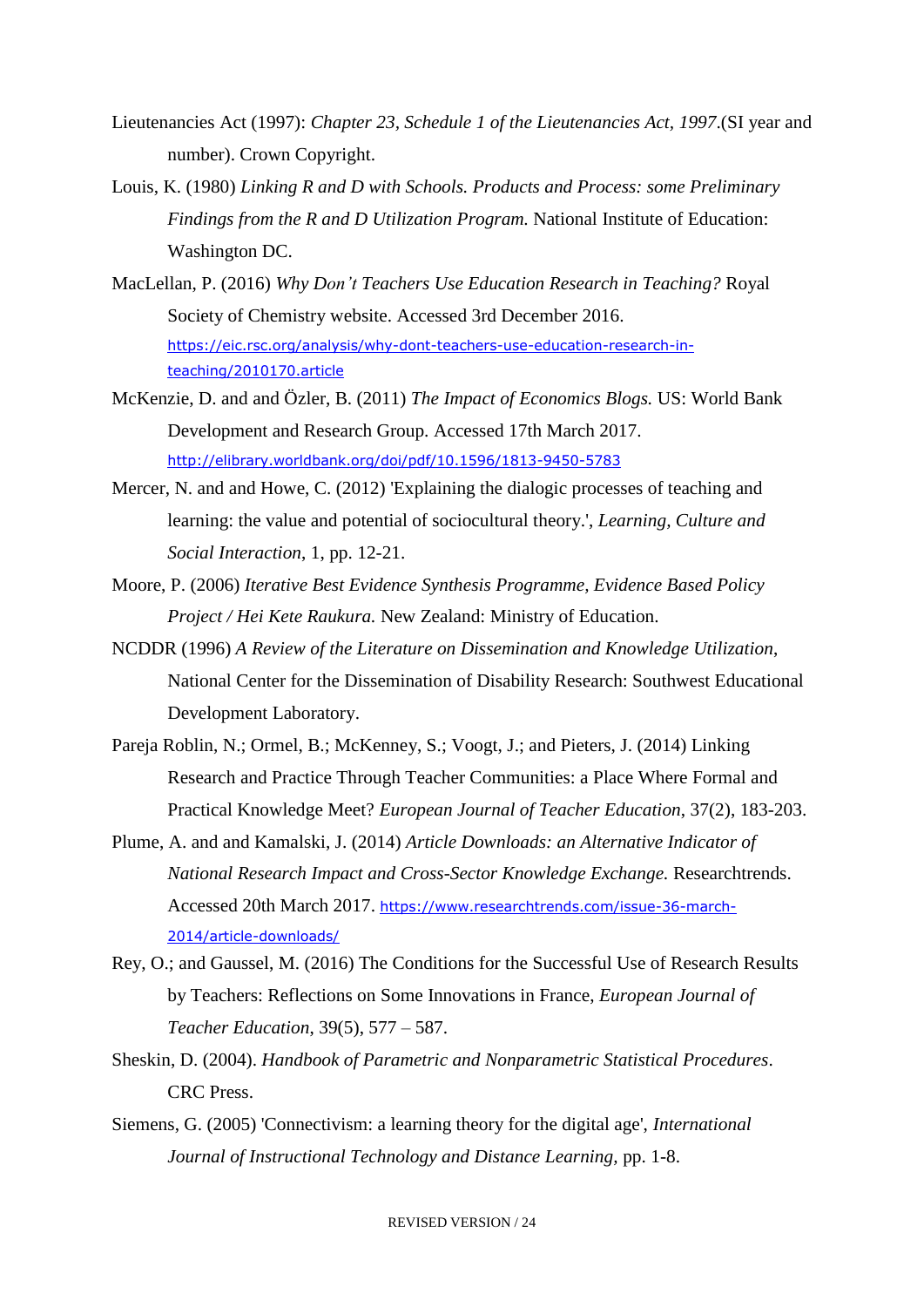- Lieutenancies Act (1997): *Chapter 23, Schedule 1 of the Lieutenancies Act, 1997*.(SI year and number). Crown Copyright.
- Louis, K. (1980) *Linking R and D with Schools. Products and Process: some Preliminary Findings from the R and D Utilization Program.* National Institute of Education: Washington DC.
- MacLellan, P. (2016) *Why Don't Teachers Use Education Research in Teaching?* Royal Society of Chemistry website. Accessed 3rd December 2016. [https://eic.rsc.org/analysis/why-dont-teachers-use-education-research-in](https://eic.rsc.org/analysis/why-dont-teachers-use-education-research-in-teaching/2010170.article)[teaching/2010170.article](https://eic.rsc.org/analysis/why-dont-teachers-use-education-research-in-teaching/2010170.article)
- McKenzie, D. and and Özler, B. (2011) *The Impact of Economics Blogs.* US: World Bank Development and Research Group. Accessed 17th March 2017. <http://elibrary.worldbank.org/doi/pdf/10.1596/1813-9450-5783>
- Mercer, N. and and Howe, C. (2012) 'Explaining the dialogic processes of teaching and learning: the value and potential of sociocultural theory.', *Learning, Culture and Social Interaction*, 1, pp. 12-21.
- Moore, P. (2006) *Iterative Best Evidence Synthesis Programme, Evidence Based Policy Project / Hei Kete Raukura.* New Zealand: Ministry of Education.
- NCDDR (1996) *A Review of the Literature on Dissemination and Knowledge Utilization*, National Center for the Dissemination of Disability Research: Southwest Educational Development Laboratory.
- Pareja Roblin, N.; Ormel, B.; McKenney, S.; Voogt, J.; and Pieters, J. (2014) Linking Research and Practice Through Teacher Communities: a Place Where Formal and Practical Knowledge Meet? *European Journal of Teacher Education*, 37(2), 183-203.
- Plume, A. and and Kamalski, J. (2014) *Article Downloads: an Alternative Indicator of National Research Impact and Cross-Sector Knowledge Exchange.* Researchtrends. Accessed 20th March 2017. [https://www.researchtrends.com/issue-36-march-](https://www.researchtrends.com/issue-36-march-2014/article-downloads/)[2014/article-downloads/](https://www.researchtrends.com/issue-36-march-2014/article-downloads/)
- Rey, O.; and Gaussel, M. (2016) The Conditions for the Successful Use of Research Results by Teachers: Reflections on Some Innovations in France, *European Journal of Teacher Education*, 39(5), 577 – 587.
- Sheskin, D. (2004). *Handbook of Parametric and Nonparametric Statistical Procedures*. CRC Press.
- Siemens, G. (2005) 'Connectivism: a learning theory for the digital age', *International Journal of Instructional Technology and Distance Learning,* pp. 1-8.